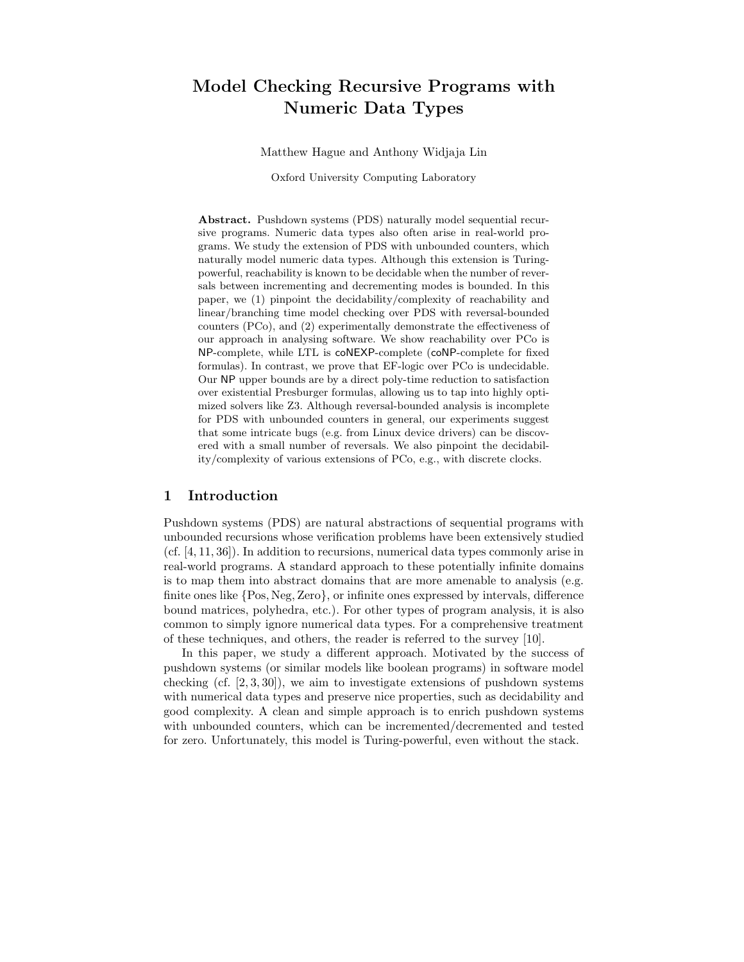# Model Checking Recursive Programs with Numeric Data Types

Matthew Hague and Anthony Widjaja Lin

Oxford University Computing Laboratory

Abstract. Pushdown systems (PDS) naturally model sequential recursive programs. Numeric data types also often arise in real-world programs. We study the extension of PDS with unbounded counters, which naturally model numeric data types. Although this extension is Turingpowerful, reachability is known to be decidable when the number of reversals between incrementing and decrementing modes is bounded. In this paper, we (1) pinpoint the decidability/complexity of reachability and linear/branching time model checking over PDS with reversal-bounded counters (PCo), and (2) experimentally demonstrate the effectiveness of our approach in analysing software. We show reachability over PCo is NP-complete, while LTL is coNEXP-complete (coNP-complete for fixed formulas). In contrast, we prove that EF-logic over PCo is undecidable. Our NP upper bounds are by a direct poly-time reduction to satisfaction over existential Presburger formulas, allowing us to tap into highly optimized solvers like Z3. Although reversal-bounded analysis is incomplete for PDS with unbounded counters in general, our experiments suggest that some intricate bugs (e.g. from Linux device drivers) can be discovered with a small number of reversals. We also pinpoint the decidability/complexity of various extensions of PCo, e.g., with discrete clocks.

#### 1 Introduction

Pushdown systems (PDS) are natural abstractions of sequential programs with unbounded recursions whose verification problems have been extensively studied (cf. [4, 11, 36]). In addition to recursions, numerical data types commonly arise in real-world programs. A standard approach to these potentially infinite domains is to map them into abstract domains that are more amenable to analysis (e.g. finite ones like {Pos, Neg, Zero}, or infinite ones expressed by intervals, difference bound matrices, polyhedra, etc.). For other types of program analysis, it is also common to simply ignore numerical data types. For a comprehensive treatment of these techniques, and others, the reader is referred to the survey [10].

In this paper, we study a different approach. Motivated by the success of pushdown systems (or similar models like boolean programs) in software model checking (cf.  $[2, 3, 30]$ ), we aim to investigate extensions of pushdown systems with numerical data types and preserve nice properties, such as decidability and good complexity. A clean and simple approach is to enrich pushdown systems with unbounded counters, which can be incremented/decremented and tested for zero. Unfortunately, this model is Turing-powerful, even without the stack.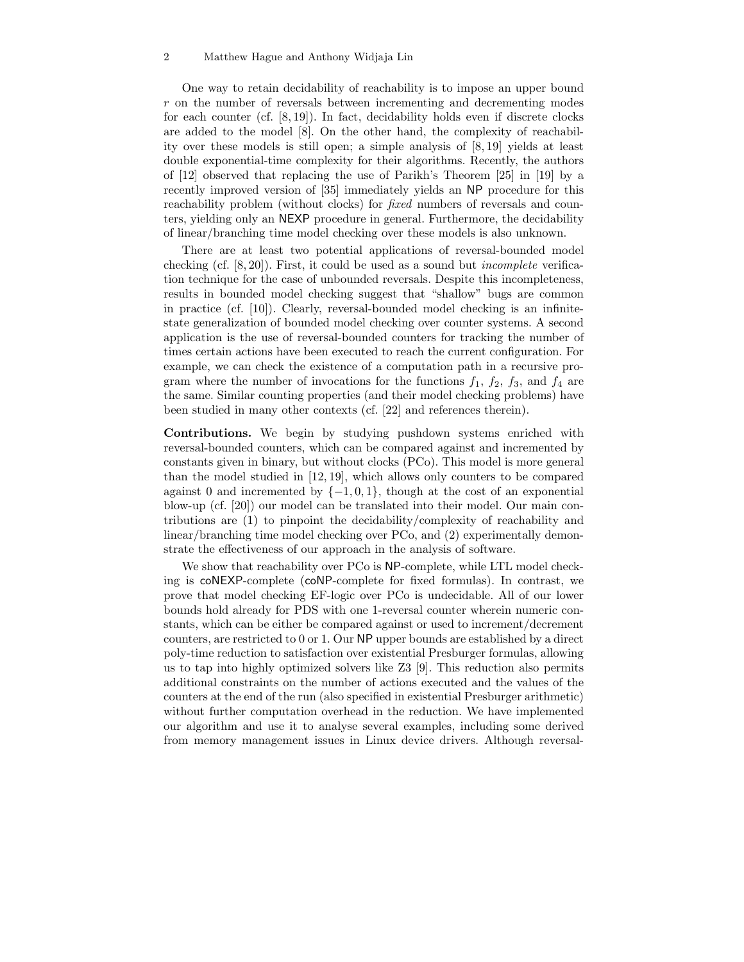#### 2 Matthew Hague and Anthony Widjaja Lin

One way to retain decidability of reachability is to impose an upper bound r on the number of reversals between incrementing and decrementing modes for each counter (cf. [8, 19]). In fact, decidability holds even if discrete clocks are added to the model [8]. On the other hand, the complexity of reachability over these models is still open; a simple analysis of [8, 19] yields at least double exponential-time complexity for their algorithms. Recently, the authors of [12] observed that replacing the use of Parikh's Theorem [25] in [19] by a recently improved version of [35] immediately yields an NP procedure for this reachability problem (without clocks) for fixed numbers of reversals and counters, yielding only an NEXP procedure in general. Furthermore, the decidability of linear/branching time model checking over these models is also unknown.

There are at least two potential applications of reversal-bounded model checking (cf.  $[8, 20]$ ). First, it could be used as a sound but *incomplete* verification technique for the case of unbounded reversals. Despite this incompleteness, results in bounded model checking suggest that "shallow" bugs are common in practice (cf. [10]). Clearly, reversal-bounded model checking is an infinitestate generalization of bounded model checking over counter systems. A second application is the use of reversal-bounded counters for tracking the number of times certain actions have been executed to reach the current configuration. For example, we can check the existence of a computation path in a recursive program where the number of invocations for the functions  $f_1$ ,  $f_2$ ,  $f_3$ , and  $f_4$  are the same. Similar counting properties (and their model checking problems) have been studied in many other contexts (cf. [22] and references therein).

Contributions. We begin by studying pushdown systems enriched with reversal-bounded counters, which can be compared against and incremented by constants given in binary, but without clocks (PCo). This model is more general than the model studied in [12, 19], which allows only counters to be compared against 0 and incremented by  $\{-1,0,1\}$ , though at the cost of an exponential blow-up (cf. [20]) our model can be translated into their model. Our main contributions are (1) to pinpoint the decidability/complexity of reachability and linear/branching time model checking over PCo, and (2) experimentally demonstrate the effectiveness of our approach in the analysis of software.

We show that reachability over PCo is NP-complete, while LTL model checking is coNEXP-complete (coNP-complete for fixed formulas). In contrast, we prove that model checking EF-logic over PCo is undecidable. All of our lower bounds hold already for PDS with one 1-reversal counter wherein numeric constants, which can be either be compared against or used to increment/decrement counters, are restricted to 0 or 1. Our NP upper bounds are established by a direct poly-time reduction to satisfaction over existential Presburger formulas, allowing us to tap into highly optimized solvers like Z3 [9]. This reduction also permits additional constraints on the number of actions executed and the values of the counters at the end of the run (also specified in existential Presburger arithmetic) without further computation overhead in the reduction. We have implemented our algorithm and use it to analyse several examples, including some derived from memory management issues in Linux device drivers. Although reversal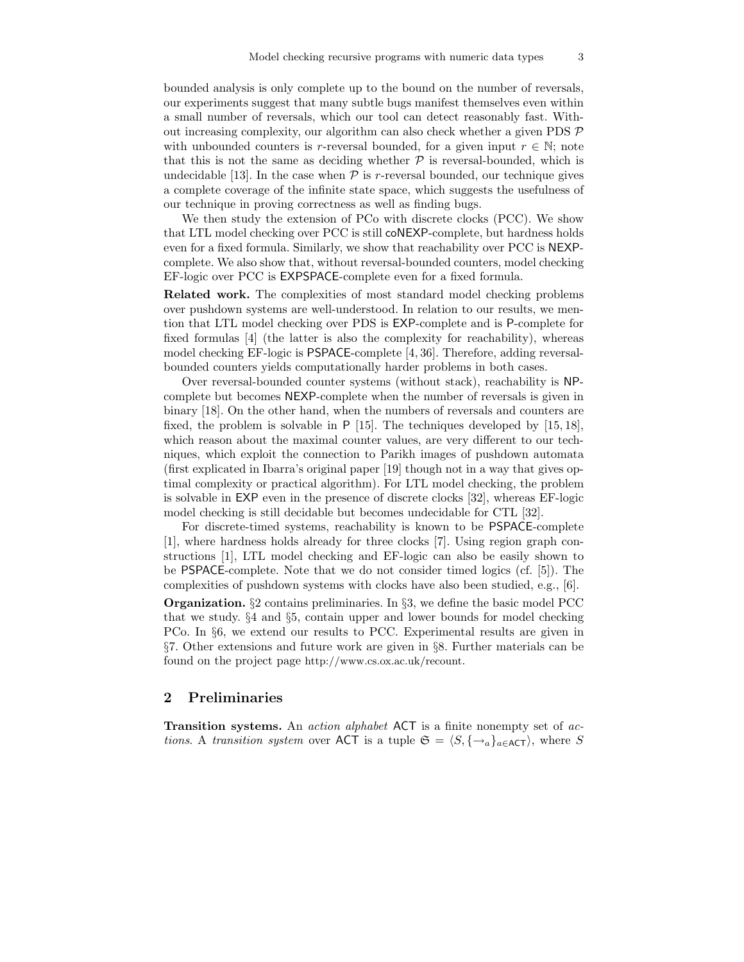bounded analysis is only complete up to the bound on the number of reversals, our experiments suggest that many subtle bugs manifest themselves even within a small number of reversals, which our tool can detect reasonably fast. Without increasing complexity, our algorithm can also check whether a given PDS  $\mathcal{P}$ with unbounded counters is r-reversal bounded, for a given input  $r \in \mathbb{N}$ ; note that this is not the same as deciding whether  $P$  is reversal-bounded, which is undecidable [13]. In the case when  $P$  is r-reversal bounded, our technique gives a complete coverage of the infinite state space, which suggests the usefulness of our technique in proving correctness as well as finding bugs.

We then study the extension of PCo with discrete clocks (PCC). We show that LTL model checking over PCC is still coNEXP-complete, but hardness holds even for a fixed formula. Similarly, we show that reachability over PCC is NEXPcomplete. We also show that, without reversal-bounded counters, model checking EF-logic over PCC is EXPSPACE-complete even for a fixed formula.

Related work. The complexities of most standard model checking problems over pushdown systems are well-understood. In relation to our results, we mention that LTL model checking over PDS is EXP-complete and is P-complete for fixed formulas [4] (the latter is also the complexity for reachability), whereas model checking EF-logic is PSPACE-complete [4, 36]. Therefore, adding reversalbounded counters yields computationally harder problems in both cases.

Over reversal-bounded counter systems (without stack), reachability is NPcomplete but becomes NEXP-complete when the number of reversals is given in binary [18]. On the other hand, when the numbers of reversals and counters are fixed, the problem is solvable in P [15]. The techniques developed by [15, 18], which reason about the maximal counter values, are very different to our techniques, which exploit the connection to Parikh images of pushdown automata (first explicated in Ibarra's original paper [19] though not in a way that gives optimal complexity or practical algorithm). For LTL model checking, the problem is solvable in EXP even in the presence of discrete clocks [32], whereas EF-logic model checking is still decidable but becomes undecidable for CTL [32].

For discrete-timed systems, reachability is known to be PSPACE-complete [1], where hardness holds already for three clocks [7]. Using region graph constructions [1], LTL model checking and EF-logic can also be easily shown to be PSPACE-complete. Note that we do not consider timed logics (cf. [5]). The complexities of pushdown systems with clocks have also been studied, e.g., [6].

**Organization.** §2 contains preliminaries. In §3, we define the basic model PCC that we study. §4 and §5, contain upper and lower bounds for model checking PCo. In §6, we extend our results to PCC. Experimental results are given in §7. Other extensions and future work are given in §8. Further materials can be found on the project page http://www.cs.ox.ac.uk/recount.

#### 2 Preliminaries

Transition systems. An *action alphabet* ACT is a finite nonempty set of *ac*tions. A transition system over ACT is a tuple  $\mathfrak{S} = \langle S, \{\rightarrow_a\}_{a \in \mathsf{ACT}}\rangle$ , where S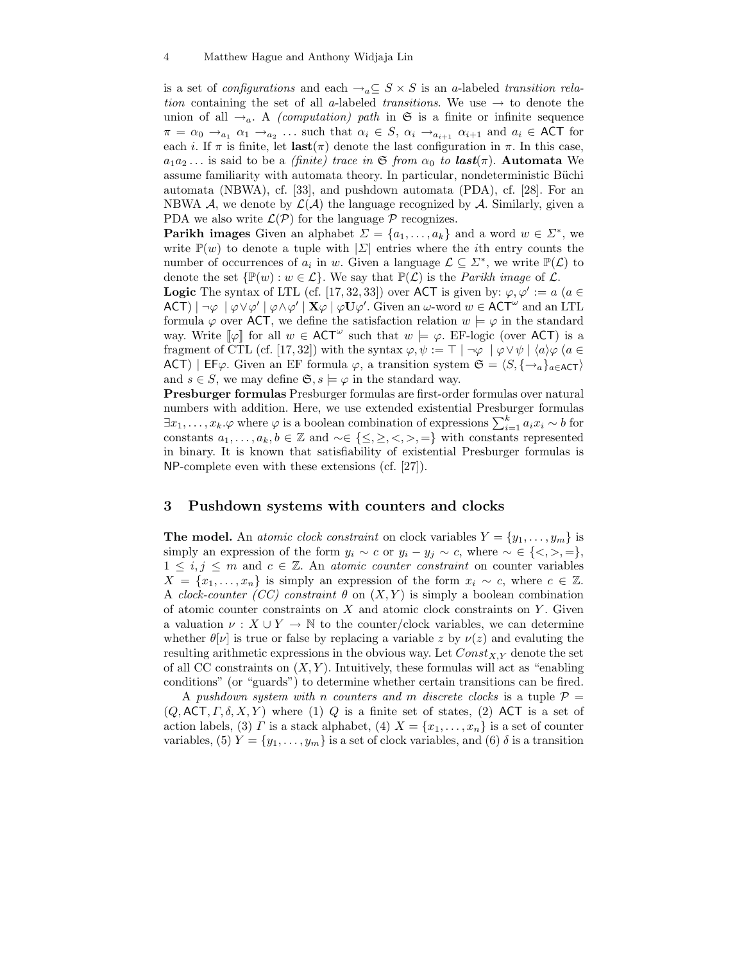is a set of *configurations* and each  $\rightarrow_a \subseteq S \times S$  is an a-labeled transition relation containing the set of all a-labeled transitions. We use  $\rightarrow$  to denote the union of all  $\rightarrow_a$ . A *(computation)* path in G is a finite or infinite sequence  $\pi = \alpha_0 \rightarrow_{a_1} \alpha_1 \rightarrow_{a_2} \ldots$  such that  $\alpha_i \in S$ ,  $\alpha_i \rightarrow_{a_{i+1}} \alpha_{i+1}$  and  $a_i \in$  ACT for each i. If  $\pi$  is finite, let  $\textbf{last}(\pi)$  denote the last configuration in  $\pi$ . In this case,  $a_1a_2...$  is said to be a *(finite)* trace in G from  $\alpha_0$  to **last**( $\pi$ ). **Automata** We assume familiarity with automata theory. In particular, nondeterministic Büchi automata (NBWA), cf. [33], and pushdown automata (PDA), cf. [28]. For an NBWA  $\mathcal{A}$ , we denote by  $\mathcal{L}(\mathcal{A})$  the language recognized by  $\mathcal{A}$ . Similarly, given a PDA we also write  $\mathcal{L}(\mathcal{P})$  for the language  $\mathcal P$  recognizes.

**Parikh images** Given an alphabet  $\Sigma = \{a_1, \ldots, a_k\}$  and a word  $w \in \Sigma^*$ , we write  $\mathbb{P}(w)$  to denote a tuple with  $|\Sigma|$  entries where the *i*th entry counts the number of occurrences of  $a_i$  in w. Given a language  $\mathcal{L} \subseteq \mathcal{L}^*$ , we write  $\mathbb{P}(\mathcal{L})$  to denote the set  $\{\mathbb{P}(w): w \in \mathcal{L}\}\)$ . We say that  $\mathbb{P}(\mathcal{L})$  is the *Parikh image* of  $\mathcal{L}$ .

**Logic** The syntax of LTL (cf. [17, 32, 33]) over ACT is given by:  $\varphi, \varphi' := a$  ( $a \in \mathbb{R}$  $\mathsf{ACT}$ )  $|\neg\varphi| \varphi \vee \varphi' | \varphi \wedge \varphi' | \mathbf{X} \varphi | \varphi \mathbf{U} \varphi'.$  Given an  $\omega$ -word  $w \in \mathsf{ACT}^\omega$  and an LTL formula  $\varphi$  over ACT, we define the satisfaction relation  $w \models \varphi$  in the standard way. Write  $[\![\varphi]\!]$  for all  $w \in {\sf ACT}^{\omega}$  such that  $w \models \varphi$ . EF-logic (over ACT) is a fragment of CTL (cf. [17, 32]) with the syntax  $\varphi, \psi := \top \mid \neg \varphi \mid \varphi \vee \psi \mid \langle a \rangle \varphi$  ( $a \in \mathbb{R}$ ACT) | EF $\varphi$ . Given an EF formula  $\varphi$ , a transition system  $\mathfrak{S} = \langle S, \{\rightarrow_a\}_{a \in \mathsf{ACT}}\rangle$ and  $s \in S$ , we may define  $\mathfrak{S}, s \models \varphi$  in the standard way.

Presburger formulas Presburger formulas are first-order formulas over natural numbers with addition. Here, we use extended existential Presburger formulas  $\exists x_1, \ldots, x_k. \varphi$  where  $\varphi$  is a boolean combination of expressions  $\sum_{i=1}^k a_i x_i \sim b$  for constants  $a_1, \ldots, a_k, b \in \mathbb{Z}$  and  $\sim \in \{\leq, \geq, \leq, >, =\}$  with constants represented in binary. It is known that satisfiability of existential Presburger formulas is NP-complete even with these extensions (cf. [27]).

#### 3 Pushdown systems with counters and clocks

**The model.** An *atomic clock constraint* on clock variables  $Y = \{y_1, \ldots, y_m\}$  is simply an expression of the form  $y_i \sim c$  or  $y_i - y_j \sim c$ , where  $\sim \in \{ \leq, >, = \},$  $1 \leq i, j \leq m$  and  $c \in \mathbb{Z}$ . An atomic counter constraint on counter variables  $X = \{x_1, \ldots, x_n\}$  is simply an expression of the form  $x_i \sim c$ , where  $c \in \mathbb{Z}$ . A clock-counter (CC) constraint  $\theta$  on  $(X, Y)$  is simply a boolean combination of atomic counter constraints on  $X$  and atomic clock constraints on  $Y$ . Given a valuation  $\nu : X \cup Y \to \mathbb{N}$  to the counter/clock variables, we can determine whether  $\theta[\nu]$  is true or false by replacing a variable z by  $\nu(z)$  and evaluting the resulting arithmetic expressions in the obvious way. Let  $Const_{X,Y}$  denote the set of all CC constraints on  $(X, Y)$ . Intuitively, these formulas will act as "enabling" conditions" (or "guards") to determine whether certain transitions can be fired.

A pushdown system with n counters and m discrete clocks is a tuple  $\mathcal{P} =$  $(Q, ACT, I, \delta, X, Y)$  where (1) Q is a finite set of states, (2) ACT is a set of action labels, (3)  $\Gamma$  is a stack alphabet, (4)  $X = \{x_1, \ldots, x_n\}$  is a set of counter variables, (5)  $Y = \{y_1, \ldots, y_m\}$  is a set of clock variables, and (6)  $\delta$  is a transition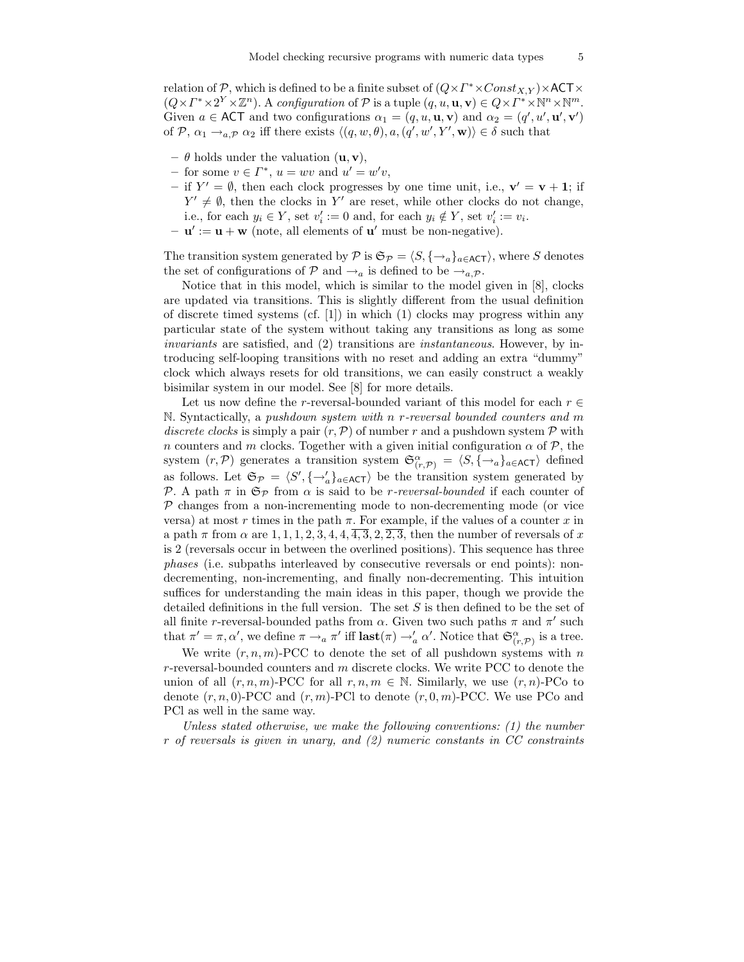relation of P, which is defined to be a finite subset of  $(Q \times \Gamma^* \times Const_{X,Y}) \times$ ACT $\times$  $(Q \times \Gamma^* \times 2^Y \times \mathbb{Z}^n)$ . A configuration of  $P$  is a tuple  $(q, u, \mathbf{u}, \mathbf{v}) \in Q \times \Gamma^* \times \mathbb{N}^n \times \mathbb{N}^m$ . Given  $a \in \text{ACT}$  and two configurations  $\alpha_1 = (q, u, \mathbf{u}, \mathbf{v})$  and  $\alpha_2 = (q', u', \mathbf{u}', \mathbf{v}')$ of P,  $\alpha_1 \rightarrow_{a,\mathcal{P}} \alpha_2$  iff there exists  $\langle (q, w, \theta), a, (q', w', Y', \mathbf{w}) \rangle \in \delta$  such that

- $-$  θ holds under the valuation  $(\mathbf{u}, \mathbf{v})$ ,
- for some  $v \in \Gamma^*$ ,  $u = wv$  and  $u' = w'v$ ,
- if  $Y' = \emptyset$ , then each clock progresses by one time unit, i.e.,  $\mathbf{v}' = \mathbf{v} + \mathbf{1}$ ; if  $Y' \neq \emptyset$ , then the clocks in Y' are reset, while other clocks do not change, i.e., for each  $y_i \in Y$ , set  $v'_i := 0$  and, for each  $y_i \notin Y$ , set  $v'_i := v_i$ .
- $\mathbf{u}' := \mathbf{u} + \mathbf{w}$  (note, all elements of  $\mathbf{u}'$  must be non-negative).

The transition system generated by  $\mathcal P$  is  $\mathfrak{S}_{\mathcal P} = \langle S, \{\rightarrow_a\}_{a\in\mathsf{ACT}}\rangle$ , where S denotes the set of configurations of P and  $\rightarrow_a$  is defined to be  $\rightarrow_{a,\mathcal{P}}$ .

Notice that in this model, which is similar to the model given in [8], clocks are updated via transitions. This is slightly different from the usual definition of discrete timed systems (cf. [1]) in which (1) clocks may progress within any particular state of the system without taking any transitions as long as some invariants are satisfied, and (2) transitions are instantaneous. However, by introducing self-looping transitions with no reset and adding an extra "dummy" clock which always resets for old transitions, we can easily construct a weakly bisimilar system in our model. See [8] for more details.

Let us now define the r-reversal-bounded variant of this model for each  $r \in$  $\mathbb N$ . Syntactically, a pushdown system with n r-reversal bounded counters and m discrete clocks is simply a pair  $(r, \mathcal{P})$  of number r and a pushdown system  $\mathcal{P}$  with n counters and m clocks. Together with a given initial configuration  $\alpha$  of  $P$ , the system  $(r, \mathcal{P})$  generates a transition system  $\mathfrak{S}_{(r, \mathcal{P})}^{\alpha} = \langle S, \{\rightarrow_a\}_{a \in \mathsf{ACT}} \rangle$  defined as follows. Let  $\mathfrak{S}_{\mathcal{P}} = \langle S', \{\rightarrow_a'\}_{a \in \mathsf{ACT}}\rangle$  be the transition system generated by P. A path  $\pi$  in  $\mathfrak{S}_{\mathcal{P}}$  from  $\alpha$  is said to be *r*-reversal-bounded if each counter of  $P$  changes from a non-incrementing mode to non-decrementing mode (or vice versa) at most r times in the path  $\pi$ . For example, if the values of a counter x in a path  $\pi$  from  $\alpha$  are 1, 1, 1, 2, 3, 4, 4,  $\overline{4,3}$ , 2,  $\overline{2,3}$ , then the number of reversals of x is 2 (reversals occur in between the overlined positions). This sequence has three phases (i.e. subpaths interleaved by consecutive reversals or end points): nondecrementing, non-incrementing, and finally non-decrementing. This intuition suffices for understanding the main ideas in this paper, though we provide the detailed definitions in the full version. The set  $S$  is then defined to be the set of all finite r-reversal-bounded paths from  $\alpha$ . Given two such paths  $\pi$  and  $\pi'$  such that  $\pi' = \pi, \alpha'$ , we define  $\pi \to_a \pi'$  iff  $\textbf{last}(\pi) \to_a' \alpha'$ . Notice that  $\mathfrak{S}_{(r,\mathcal{P})}^{\alpha}$  is a tree.

We write  $(r, n, m)$ -PCC to denote the set of all pushdown systems with n  $r$ -reversal-bounded counters and  $m$  discrete clocks. We write PCC to denote the union of all  $(r, n, m)$ -PCC for all  $r, n, m \in \mathbb{N}$ . Similarly, we use  $(r, n)$ -PCo to denote  $(r, n, 0)$ -PCC and  $(r, m)$ -PCl to denote  $(r, 0, m)$ -PCC. We use PCo and PCl as well in the same way.

Unless stated otherwise, we make the following conventions: (1) the number r of reversals is given in unary, and  $(2)$  numeric constants in CC constraints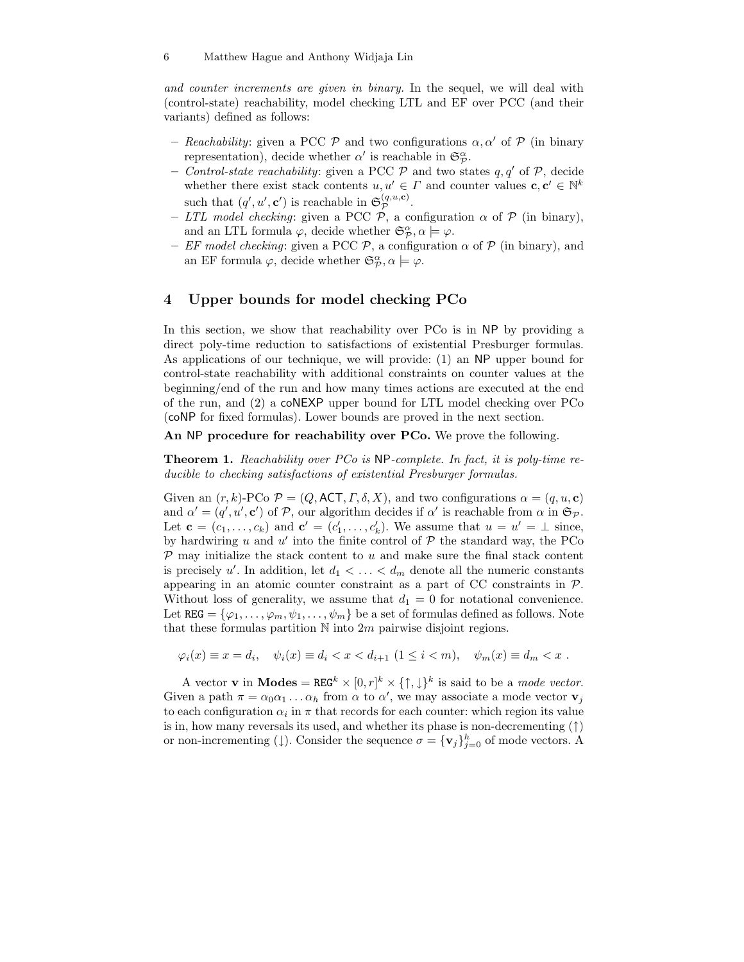and counter increments are given in binary. In the sequel, we will deal with (control-state) reachability, model checking LTL and EF over PCC (and their variants) defined as follows:

- Reachability: given a PCC  $\mathcal P$  and two configurations  $\alpha, \alpha'$  of  $\mathcal P$  (in binary representation), decide whether  $\alpha'$  is reachable in  $\mathfrak{S}_{\mathcal{P}}^{\alpha}$ .
- Control-state reachability: given a PCC  $\mathcal P$  and two states  $q, q'$  of  $\mathcal P$ , decide whether there exist stack contents  $u, u' \in \Gamma$  and counter values  $c, c' \in \mathbb{N}^k$ such that  $(q', u', \mathbf{c}')$  is reachable in  $\mathfrak{S}_{\mathcal{P}}^{(q,u,\mathbf{c})}$  $\stackrel{(q,u,\mathbf{c})}{\mathcal{P}}$  .
- LTL model checking: given a PCC  $\mathcal{P}$ , a configuration  $\alpha$  of  $\mathcal{P}$  (in binary), and an LTL formula  $\varphi$ , decide whether  $\mathfrak{S}_{\mathcal{P}}^{\alpha}$ ,  $\alpha \models \varphi$ .
- EF model checking: given a PCC  $P$ , a configuration  $\alpha$  of  $P$  (in binary), and an EF formula  $\varphi$ , decide whether  $\mathfrak{S}_{\mathcal{P}}^{\alpha}$ ,  $\alpha \models \varphi$ .

# 4 Upper bounds for model checking PCo

In this section, we show that reachability over PCo is in NP by providing a direct poly-time reduction to satisfactions of existential Presburger formulas. As applications of our technique, we will provide: (1) an NP upper bound for control-state reachability with additional constraints on counter values at the beginning/end of the run and how many times actions are executed at the end of the run, and (2) a coNEXP upper bound for LTL model checking over PCo (coNP for fixed formulas). Lower bounds are proved in the next section.

#### An NP procedure for reachability over PCo. We prove the following.

Theorem 1. Reachability over PCo is NP-complete. In fact, it is poly-time reducible to checking satisfactions of existential Presburger formulas.

Given an  $(r, k)$ -PCo  $P = (Q, ACT, I, \delta, X)$ , and two configurations  $\alpha = (q, u, \mathbf{c})$ and  $\alpha' = (q', u', \mathbf{c}')$  of  $P$ , our algorithm decides if  $\alpha'$  is reachable from  $\alpha$  in  $\mathfrak{S}_P$ . Let  $\mathbf{c} = (c_1, \ldots, c_k)$  and  $\mathbf{c}' = (c'_1, \ldots, c'_k)$ . We assume that  $u = u' = \perp$  since, by hardwiring  $u$  and  $u'$  into the finite control of  $P$  the standard way, the PCo  $P$  may initialize the stack content to  $u$  and make sure the final stack content is precisely u'. In addition, let  $d_1 < \ldots < d_m$  denote all the numeric constants appearing in an atomic counter constraint as a part of  $CC$  constraints in  $\mathcal{P}$ . Without loss of generality, we assume that  $d_1 = 0$  for notational convenience. Let  $REG = {\varphi_1, \ldots, \varphi_m, \psi_1, \ldots, \psi_m}$  be a set of formulas defined as follows. Note that these formulas partition  $N$  into  $2m$  pairwise disjoint regions.

$$
\varphi_i(x) \equiv x = d_i, \quad \psi_i(x) \equiv d_i < x < d_{i+1} \ (1 \leq i < m), \quad \psi_m(x) \equiv d_m < x.
$$

A vector **v** in **Modes** =  $\text{REG}^k \times [0, r]^k \times {\{\uparrow, \downarrow\}}^k$  is said to be a mode vector. Given a path  $\pi = \alpha_0 \alpha_1 \dots \alpha_h$  from  $\alpha$  to  $\alpha'$ , we may associate a mode vector  $\mathbf{v}_j$ to each configuration  $\alpha_i$  in  $\pi$  that records for each counter: which region its value is in, how many reversals its used, and whether its phase is non-decrementing (↑) or non-incrementing ( $\downarrow$ ). Consider the sequence  $\sigma = {\mathbf{v}_j}_{j=0}^h$  of mode vectors. A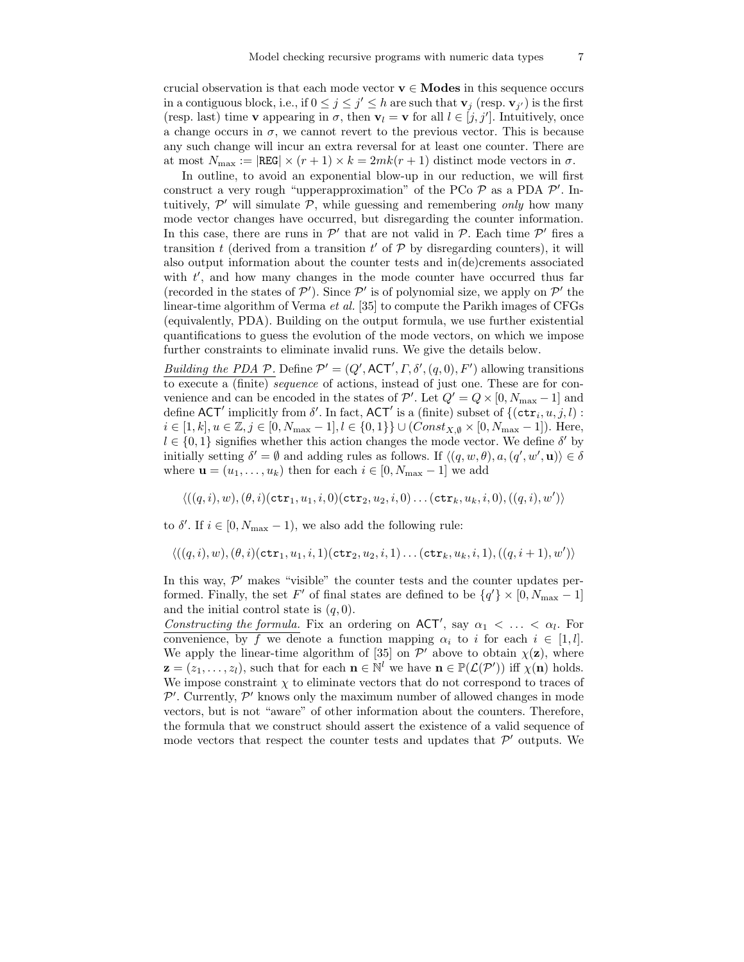crucial observation is that each mode vector  $v \in$  **Modes** in this sequence occurs in a contiguous block, i.e., if  $0 \le j \le j' \le h$  are such that  $\mathbf{v}_j$  (resp.  $\mathbf{v}_{j'}$ ) is the first (resp. last) time **v** appearing in  $\sigma$ , then **v**<sub>l</sub> = **v** for all  $l \in [j, j']$ . Intuitively, once a change occurs in  $\sigma$ , we cannot revert to the previous vector. This is because any such change will incur an extra reversal for at least one counter. There are at most  $N_{\text{max}} := |\text{REG}| \times (r+1) \times k = 2mk(r+1)$  distinct mode vectors in  $\sigma$ .

In outline, to avoid an exponential blow-up in our reduction, we will first construct a very rough "upperapproximation" of the PCo  $P$  as a PDA  $P'$ . Intuitively,  $\mathcal{P}'$  will simulate  $\mathcal{P}$ , while guessing and remembering only how many mode vector changes have occurred, but disregarding the counter information. In this case, there are runs in  $\mathcal{P}'$  that are not valid in  $\mathcal{P}$ . Each time  $\mathcal{P}'$  fires a transition  $t$  (derived from a transition  $t'$  of  $P$  by disregarding counters), it will also output information about the counter tests and in(de)crements associated with  $t'$ , and how many changes in the mode counter have occurred thus far (recorded in the states of  $\mathcal{P}'$ ). Since  $\mathcal{P}'$  is of polynomial size, we apply on  $\mathcal{P}'$  the linear-time algorithm of Verma et al. [35] to compute the Parikh images of CFGs (equivalently, PDA). Building on the output formula, we use further existential quantifications to guess the evolution of the mode vectors, on which we impose further constraints to eliminate invalid runs. We give the details below.

*Building the PDA P.* Define  $\mathcal{P}' = (Q', \text{ACT}', \Gamma, \delta', (q, 0), F')$  allowing transitions to execute a (finite) sequence of actions, instead of just one. These are for convenience and can be encoded in the states of  $\mathcal{P}'$ . Let  $Q' = Q \times [0, N_{\text{max}} - 1]$  and define  $\mathsf{ACT}'$  implicitly from  $\delta'$ . In fact,  $\mathsf{ACT}'$  is a (finite) subset of  $\{(\mathtt{ctr}_i, u, j, l) :$  $i \in [1, k], u \in \mathbb{Z}, j \in [0, N_{\max} - 1], l \in \{0, 1\}\} \cup (Const_{X, \emptyset} \times [0, N_{\max} - 1]).$  Here,  $l \in \{0,1\}$  signifies whether this action changes the mode vector. We define  $\delta'$  by initially setting  $\delta' = \emptyset$  and adding rules as follows. If  $\langle (q, w, \theta), a, (q', w', \mathbf{u}) \rangle \in \delta$ where  $\mathbf{u} = (u_1, \dots, u_k)$  then for each  $i \in [0, N_{\text{max}} - 1]$  we add

$$
\langle ((q,i),w),(\theta,i)(\mathtt{ctr}_1,u_1,i,0)(\mathtt{ctr}_2,u_2,i,0)\dots(\mathtt{ctr}_k,u_k,i,0),((q,i),w')\rangle
$$

to  $\delta'$ . If  $i \in [0, N_{\text{max}} - 1)$ , we also add the following rule:

$$
\langle ((q,i),w),(\theta,i)(\mathtt{ctr}_1,u_1,i,1)(\mathtt{ctr}_2,u_2,i,1)\dots(\mathtt{ctr}_k,u_k,i,1),((q,i+1),w')\rangle
$$

In this way,  $\mathcal{P}'$  makes "visible" the counter tests and the counter updates performed. Finally, the set  $F'$  of final states are defined to be  $\{q'\}\times[0,N_{\max}-1]$ and the initial control state is  $(q, 0)$ .

Constructing the formula. Fix an ordering on  $ACT'$ , say  $\alpha_1 < \ldots < \alpha_l$ . For convenience, by f we denote a function mapping  $\alpha_i$  to i for each  $i \in [1, l]$ . We apply the linear-time algorithm of [35] on  $\mathcal{P}'$  above to obtain  $\chi(\mathbf{z})$ , where  $\mathbf{z} = (z_1, \ldots, z_l)$ , such that for each  $\mathbf{n} \in \mathbb{N}^l$  we have  $\mathbf{n} \in \mathbb{P}(\mathcal{L}(\mathcal{P}'))$  iff  $\chi(\mathbf{n})$  holds. We impose constraint  $\chi$  to eliminate vectors that do not correspond to traces of  $P'$ . Currently,  $P'$  knows only the maximum number of allowed changes in mode vectors, but is not "aware" of other information about the counters. Therefore, the formula that we construct should assert the existence of a valid sequence of mode vectors that respect the counter tests and updates that  $\mathcal{P}'$  outputs. We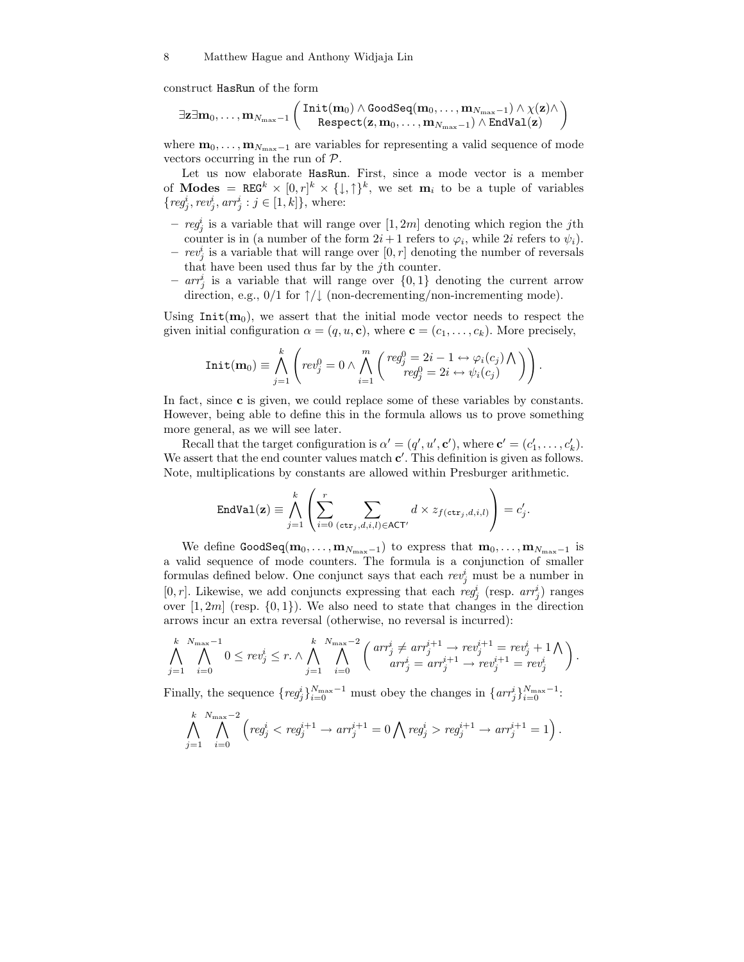#### 8 Matthew Hague and Anthony Widjaja Lin

construct HasRun of the form

$$
\exists \mathbf{z} \exists \mathbf{m}_0, \ldots, \mathbf{m}_{N_{\max}-1} \left( \frac{\texttt{Init}(\mathbf{m}_0) \wedge \texttt{GoodSeq}(\mathbf{m}_0, \ldots, \mathbf{m}_{N_{\max}-1}) \wedge \chi(\mathbf{z}) \wedge}{\texttt{Respect}(\mathbf{z}, \mathbf{m}_0, \ldots, \mathbf{m}_{N_{\max}-1}) \wedge \texttt{EndVal}(\mathbf{z})} \right)
$$

where  $\mathbf{m}_0, \ldots, \mathbf{m}_{N_{\text{max}}-1}$  are variables for representing a valid sequence of mode vectors occurring in the run of  $P$ .

Let us now elaborate HasRun. First, since a mode vector is a member of **Modes** = REG<sup>k</sup>  $\times$   $[0,r]^k$   $\times$   $\{\downarrow,\uparrow\}^k$ , we set **m**<sub>i</sub> to be a tuple of variables  $\{reg_j^i, rev_j^i, arr_j^i : j \in [1, k]\},$  where:

- $reg_j^i$  is a variable that will range over  $[1, 2m]$  denoting which region the jth counter is in (a number of the form  $2i+1$  refers to  $\varphi_i$ , while  $2i$  refers to  $\psi_i$ ).
- $-$  rev<sup>i</sup><sub>j</sub> is a variable that will range over  $[0, r]$  denoting the number of reversals that have been used thus far by the jth counter.
- $arr_j^i$  is a variable that will range over  $\{0,1\}$  denoting the current arrow direction, e.g.,  $0/1$  for  $\uparrow/\downarrow$  (non-decrementing/non-incrementing mode).

Using Init $(m_0)$ , we assert that the initial mode vector needs to respect the given initial configuration  $\alpha = (q, u, \mathbf{c})$ , where  $\mathbf{c} = (c_1, \ldots, c_k)$ . More precisely,

$$
\text{Init}(\mathbf{m}_0) \equiv \bigwedge_{j=1}^k \left( rev_j^0 = 0 \wedge \bigwedge_{i=1}^m \left( \begin{array}{c} reg_j^0 = 2i - 1 \leftrightarrow \varphi_i(c_j) \wedge \\ reg_j^0 = 2i \leftrightarrow \psi_i(c_j) \end{array} \right) \right).
$$

In fact, since c is given, we could replace some of these variables by constants. However, being able to define this in the formula allows us to prove something more general, as we will see later.

Recall that the target configuration is  $\alpha' = (q', u', \mathbf{c}')$ , where  $\mathbf{c}' = (c'_1, \dots, c'_k)$ . We assert that the end counter values match  $c'$ . This definition is given as follows. Note, multiplications by constants are allowed within Presburger arithmetic.

$$
\texttt{EndVal}(\mathbf{z}) \equiv \bigwedge_{j=1}^k \left( \sum_{i=0}^r \sum_{(\texttt{ctr}_j,d,i,l) \in \textsf{ACT}'} d \times z_{f(\texttt{ctr}_j,d,i,l)} \right) = c'_j.
$$

We define GoodSeq( $m_0, \ldots, m_{N_{\text{max}}-1}$ ) to express that  $m_0, \ldots, m_{N_{\text{max}}-1}$  is a valid sequence of mode counters. The formula is a conjunction of smaller formulas defined below. One conjunct says that each  $rev_j^i$  must be a number in [0, r]. Likewise, we add conjuncts expressing that each reg<sup>i</sup> (resp.  $arr_j^i$ ) ranges over  $[1, 2m]$  (resp.  $\{0, 1\}$ ). We also need to state that changes in the direction arrows incur an extra reversal (otherwise, no reversal is incurred):

$$
\bigwedge_{j=1}^k \bigwedge_{i=0}^{N_{\text{max}}-1} 0 \leq rev^i_j \leq r. \wedge \bigwedge_{j=1}^k \bigwedge_{i=0}^{N_{\text{max}}-2} \left( \begin{array}{c} arr^i_j \neq arr^{i+1}_j \rightarrow rev^{i+1}_j = rev^i_j + 1 \\ arr^i_j = arr^{i+1}_j \rightarrow rev^{i+1}_j = rev^i_j \end{array} \right).
$$

Finally, the sequence  $\{reg_j^i\}_{i=0}^{N_{\text{max}}-1}$  must obey the changes in  $\{arr_j^i\}_{i=0}^{N_{\text{max}}-1}$ :

$$
\bigwedge_{j=1}^k \bigwedge_{i=0}^{N_{\text{max}}-2} \left( \text{reg}_j^i < \text{reg}_j^{i+1} \to \text{arr}_j^{i+1} = 0 \bigwedge \text{reg}_j^i > \text{reg}_j^{i+1} \to \text{arr}_j^{i+1} = 1 \right).
$$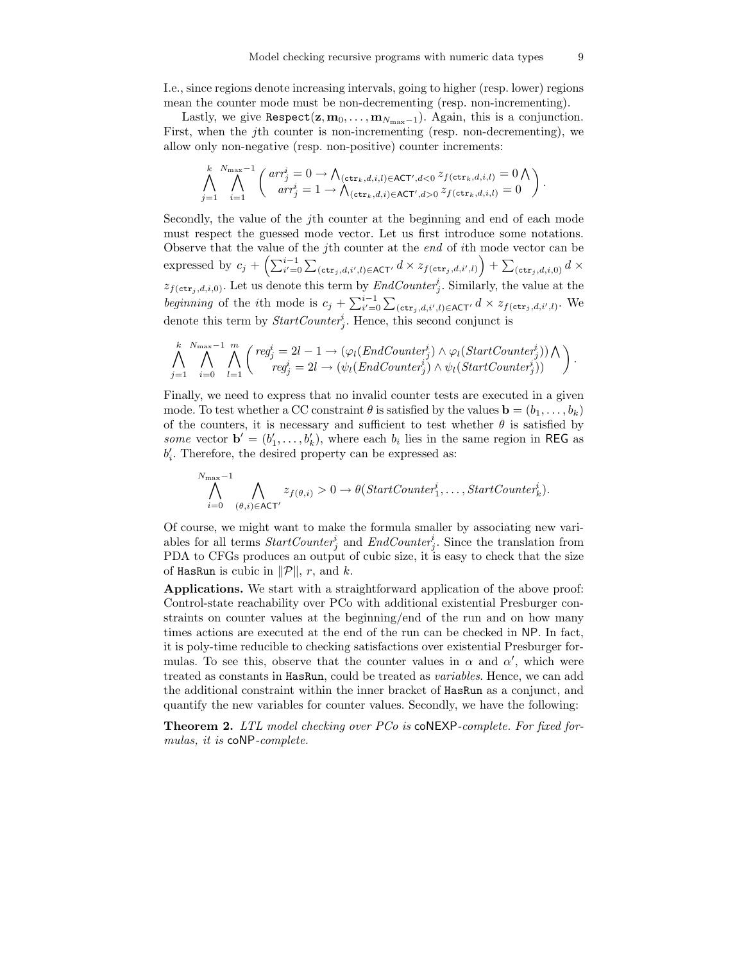I.e., since regions denote increasing intervals, going to higher (resp. lower) regions mean the counter mode must be non-decrementing (resp. non-incrementing).

Lastly, we give  $\text{Respect}(z, m_0, \ldots, m_{N_{\text{max}}-1})$ . Again, this is a conjunction. First, when the jth counter is non-incrementing (resp. non-decrementing), we allow only non-negative (resp. non-positive) counter increments:

$$
\bigwedge_{j=1}^k \bigwedge_{i=1}^{N_{\text{max}}-1} \left( \begin{array}{c} arr^i_j = 0 \to \bigwedge_{(\text{ctr}_k,d,i,l) \in \text{ACT}', d < 0} z_{f(\text{ctr}_k,d,i,l)} = 0 \bigwedge \\ arr^i_j = 1 \to \bigwedge_{(\text{ctr}_k,d,i) \in \text{ACT}', d > 0} z_{f(\text{ctr}_k,d,i,l)} = 0 \end{array} \right).
$$

Secondly, the value of the jth counter at the beginning and end of each mode must respect the guessed mode vector. Let us first introduce some notations. Observe that the value of the jth counter at the end of ith mode vector can be expressed by  $c_j + \left( \sum_{i'=0}^{i-1} \sum_{(\text{ctr}_j, d, i', l) \in \text{ACT}'} d \times z_{f(\text{ctr}_j, d, i', l)} \right) + \sum_{(\text{ctr}_j, d, i, 0)} d \times$  $z_{f(\text{ctr}_j, d, i, 0)}$ . Let us denote this term by  $EndCounter_j^i$ . Similarly, the value at the beginning of the ith mode is  $c_j + \sum_{i'=0}^{i-1} \sum_{(\text{ctr}_j, d, i', l) \in \text{ACT}'} d \times z_{f(\text{ctr}_j, d, i', l)}$ . We denote this term by  $StartCounter_j^i$ . Hence, this second conjunct is

$$
\bigwedge_{j=1}^k \bigwedge_{i=0}^{N_{\text{max}}-1} \bigwedge_{l=1}^m \left( \begin{matrix} reg^i_j = 2l - 1 \rightarrow (\varphi_l(EndCounter^i_j) \land \varphi_l(StartCounter^i_j)) \land \\ reg^i_j = 2l \rightarrow (\psi_l(EndCounter^i_j) \land \psi_l(StartCounter^i_j)) \end{matrix} \right).
$$

Finally, we need to express that no invalid counter tests are executed in a given mode. To test whether a CC constraint  $\theta$  is satisfied by the values  $\mathbf{b} = (b_1, \ldots, b_k)$ of the counters, it is necessary and sufficient to test whether  $\theta$  is satisfied by some vector  $\mathbf{b}' = (b'_1, \ldots, b'_k)$ , where each  $b_i$  lies in the same region in REG as  $b_i^\prime.$  Therefore, the desired property can be expressed as:

$$
\bigwedge_{i=0}^{N_{\max}-1} \bigwedge_{(\theta,i) \in \mathsf{ACT}'} z_{f(\theta,i)} > 0 \to \theta(StartCounter_1^i, \dots, StartCounter_k^i).
$$

Of course, we might want to make the formula smaller by associating new variables for all terms  $StartCounter_j^i$  and  $EndCounter_j^i$ . Since the translation from PDA to CFGs produces an output of cubic size, it is easy to check that the size of HasRun is cubic in  $\|\mathcal{P}\|$ , r, and k.

Applications. We start with a straightforward application of the above proof: Control-state reachability over PCo with additional existential Presburger constraints on counter values at the beginning/end of the run and on how many times actions are executed at the end of the run can be checked in NP. In fact, it is poly-time reducible to checking satisfactions over existential Presburger formulas. To see this, observe that the counter values in  $\alpha$  and  $\alpha'$ , which were treated as constants in HasRun, could be treated as variables. Hence, we can add the additional constraint within the inner bracket of HasRun as a conjunct, and quantify the new variables for counter values. Secondly, we have the following:

Theorem 2. LTL model checking over PCo is coNEXP-complete. For fixed formulas, it is coNP-complete.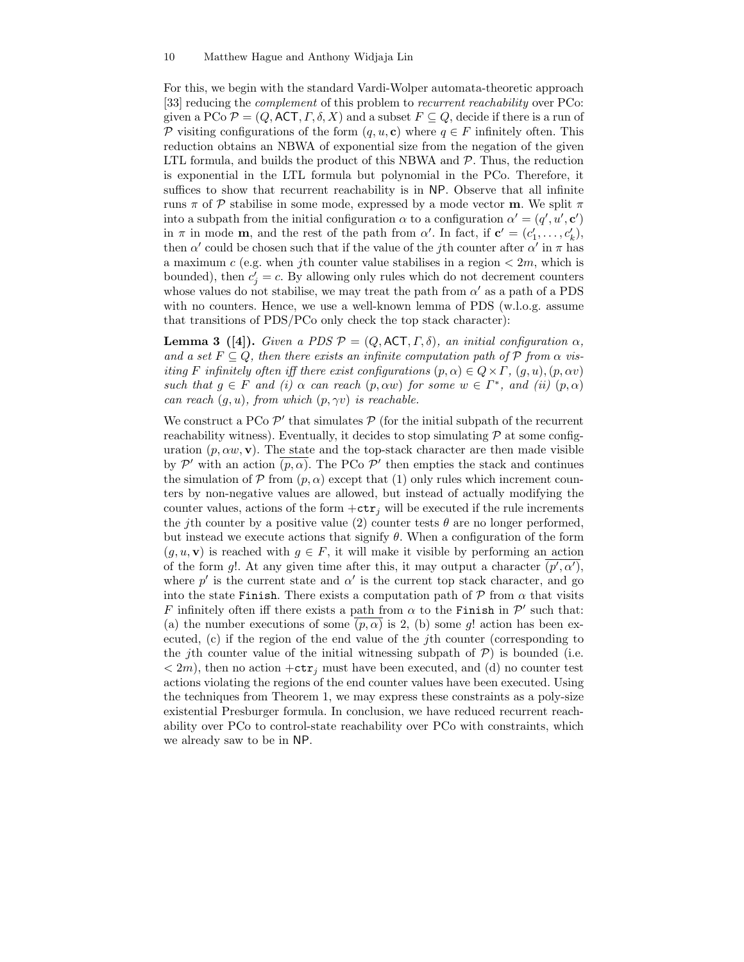For this, we begin with the standard Vardi-Wolper automata-theoretic approach [33] reducing the *complement* of this problem to *recurrent reachability* over PCo: given a PCo  $\mathcal{P} = (Q, \text{ACT}, \Gamma, \delta, X)$  and a subset  $F \subseteq Q$ , decide if there is a run of P visiting configurations of the form  $(q, u, c)$  where  $q \in F$  infinitely often. This reduction obtains an NBWA of exponential size from the negation of the given LTL formula, and builds the product of this NBWA and  $P$ . Thus, the reduction is exponential in the LTL formula but polynomial in the PCo. Therefore, it suffices to show that recurrent reachability is in NP. Observe that all infinite runs  $\pi$  of P stabilise in some mode, expressed by a mode vector **m**. We split  $\pi$ into a subpath from the initial configuration  $\alpha$  to a configuration  $\alpha' = (q', u', c')$ in  $\pi$  in mode **m**, and the rest of the path from  $\alpha'$ . In fact, if  $\mathbf{c}' = (c'_1, \ldots, c'_k)$ , then  $\alpha'$  could be chosen such that if the value of the *j*th counter after  $\alpha'$  in  $\pi$  has a maximum c (e.g. when *j*th counter value stabilises in a region  $\lt 2m$ , which is bounded), then  $c'_j = c$ . By allowing only rules which do not decrement counters whose values do not stabilise, we may treat the path from  $\alpha'$  as a path of a PDS with no counters. Hence, we use a well-known lemma of PDS (w.l.o.g. assume that transitions of PDS/PCo only check the top stack character):

**Lemma 3** ([4]). Given a PDS  $P = (Q, ACT, \Gamma, \delta)$ , an initial configuration  $\alpha$ , and a set  $F \subseteq Q$ , then there exists an infinite computation path of P from  $\alpha$  visiting F infinitely often iff there exist configurations  $(p, \alpha) \in Q \times \Gamma$ ,  $(q, u)$ ,  $(p, \alpha v)$ such that  $g \in F$  and (i)  $\alpha$  can reach  $(p, \alpha w)$  for some  $w \in \Gamma^*$ , and (ii)  $(p, \alpha)$ can reach  $(g, u)$ , from which  $(p, \gamma v)$  is reachable.

We construct a PCo  $\mathcal{P}'$  that simulates  $\mathcal{P}$  (for the initial subpath of the recurrent reachability witness). Eventually, it decides to stop simulating  $P$  at some configuration  $(p, \alpha w, \mathbf{v})$ . The state and the top-stack character are then made visible by  $\mathcal{P}'$  with an action  $\overline{(p,\alpha)}$ . The PCo  $\mathcal{P}'$  then empties the stack and continues the simulation of  $P$  from  $(p, \alpha)$  except that (1) only rules which increment counters by non-negative values are allowed, but instead of actually modifying the counter values, actions of the form  $+ \text{ctr}_i$  will be executed if the rule increments the *j*th counter by a positive value (2) counter tests  $\theta$  are no longer performed, but instead we execute actions that signify  $\theta$ . When a configuration of the form  $(g, u, v)$  is reached with  $g \in F$ , it will make it visible by performing an action of the form g!. At any given time after this, it may output a character  $(p', \alpha')$ , where  $p'$  is the current state and  $\alpha'$  is the current top stack character, and go into the state Finish. There exists a computation path of  $P$  from  $\alpha$  that visits F infinitely often iff there exists a path from  $\alpha$  to the Finish in  $\mathcal{P}'$  such that: (a) the number executions of some  $(p, \alpha)$  is 2, (b) some g! action has been executed, (c) if the region of the end value of the jth counter (corresponding to the jth counter value of the initial witnessing subpath of  $P$ ) is bounded (i.e.  $\langle 2m \rangle$ , then no action  $+\mathsf{ctr}_i$  must have been executed, and (d) no counter test actions violating the regions of the end counter values have been executed. Using the techniques from Theorem 1, we may express these constraints as a poly-size existential Presburger formula. In conclusion, we have reduced recurrent reachability over PCo to control-state reachability over PCo with constraints, which we already saw to be in NP.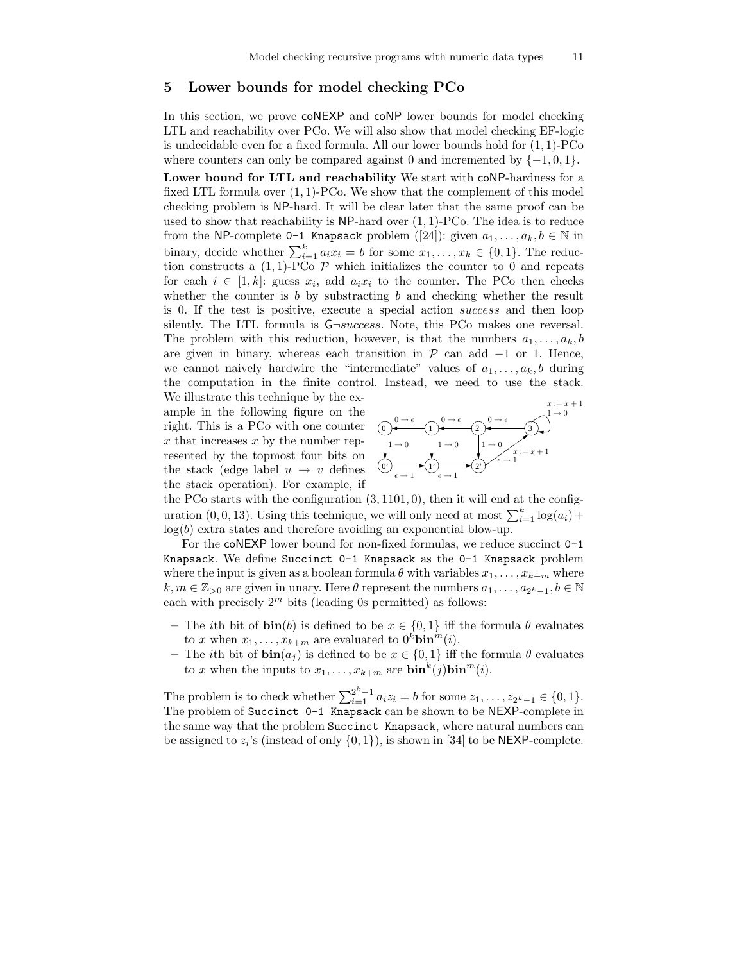#### 5 Lower bounds for model checking PCo

In this section, we prove coNEXP and coNP lower bounds for model checking LTL and reachability over PCo. We will also show that model checking EF-logic is undecidable even for a fixed formula. All our lower bounds hold for  $(1, 1)$ -PCo where counters can only be compared against 0 and incremented by  $\{-1,0,1\}$ .

Lower bound for LTL and reachability We start with coNP-hardness for a fixed LTL formula over  $(1, 1)$ -PCo. We show that the complement of this model checking problem is NP-hard. It will be clear later that the same proof can be used to show that reachability is  $NP$ -hard over  $(1, 1)$ -PCo. The idea is to reduce from the NP-complete 0-1 Knapsack problem ([24]): given  $a_1, \ldots, a_k, b \in \mathbb{N}$  in binary, decide whether  $\sum_{i=1}^{k} a_i x_i = b$  for some  $x_1, \ldots, x_k \in \{0, 1\}$ . The reduction constructs a  $(1, 1)$ -PCo  $P$  which initializes the counter to 0 and repeats for each  $i \in [1, k]$ : guess  $x_i$ , add  $a_i x_i$  to the counter. The PCo then checks whether the counter is b by substracting b and checking whether the result is 0. If the test is positive, execute a special action success and then loop silently. The LTL formula is  $G\neg success$ . Note, this PCo makes one reversal. The problem with this reduction, however, is that the numbers  $a_1, \ldots, a_k, b$ are given in binary, whereas each transition in  $\mathcal P$  can add  $-1$  or 1. Hence, we cannot naively hardwire the "intermediate" values of  $a_1, \ldots, a_k, b$  during the computation in the finite control. Instead, we need to use the stack. We illustrate this technique by the ex-

ample in the following figure on the right. This is a PCo with one counter  $x$  that increases  $x$  by the number represented by the topmost four bits on the stack (edge label  $u \rightarrow v$  defines the stack operation). For example, if



the PCo starts with the configuration  $(3, 1101, 0)$ , then it will end at the configuration (0, 0, 13). Using this technique, we will only need at most  $\sum_{i=1}^{k} \log(a_i)$  +  $log(b)$  extra states and therefore avoiding an exponential blow-up.

For the coNEXP lower bound for non-fixed formulas, we reduce succinct 0-1 Knapsack. We define Succinct 0-1 Knapsack as the 0-1 Knapsack problem where the input is given as a boolean formula  $\theta$  with variables  $x_1, \ldots, x_{k+m}$  where  $k, m \in \mathbb{Z}_{>0}$  are given in unary. Here  $\theta$  represent the numbers  $a_1, \ldots, a_{2^k-1}, b \in \mathbb{N}$ each with precisely  $2^m$  bits (leading 0s permitted) as follows:

- The ith bit of  $\text{bin}(b)$  is defined to be  $x \in \{0,1\}$  iff the formula  $\theta$  evaluates to x when  $x_1, \ldots, x_{k+m}$  are evaluated to  $0^k \text{bin}^m(i)$ .
- The *i*th bit of  $\text{bin}(a_j)$  is defined to be  $x \in \{0,1\}$  iff the formula  $\theta$  evaluates to x when the inputs to  $x_1, \ldots, x_{k+m}$  are  $\text{bin}^k(j)\text{bin}^m(i)$ .

The problem is to check whether  $\sum_{i=1}^{2^k-1} a_i z_i = b$  for some  $z_1, \ldots, z_{2^k-1} \in \{0, 1\}.$ The problem of Succinct 0-1 Knapsack can be shown to be NEXP-complete in the same way that the problem Succinct Knapsack, where natural numbers can be assigned to  $z_i$ 's (instead of only  $\{0,1\}$ ), is shown in [34] to be NEXP-complete.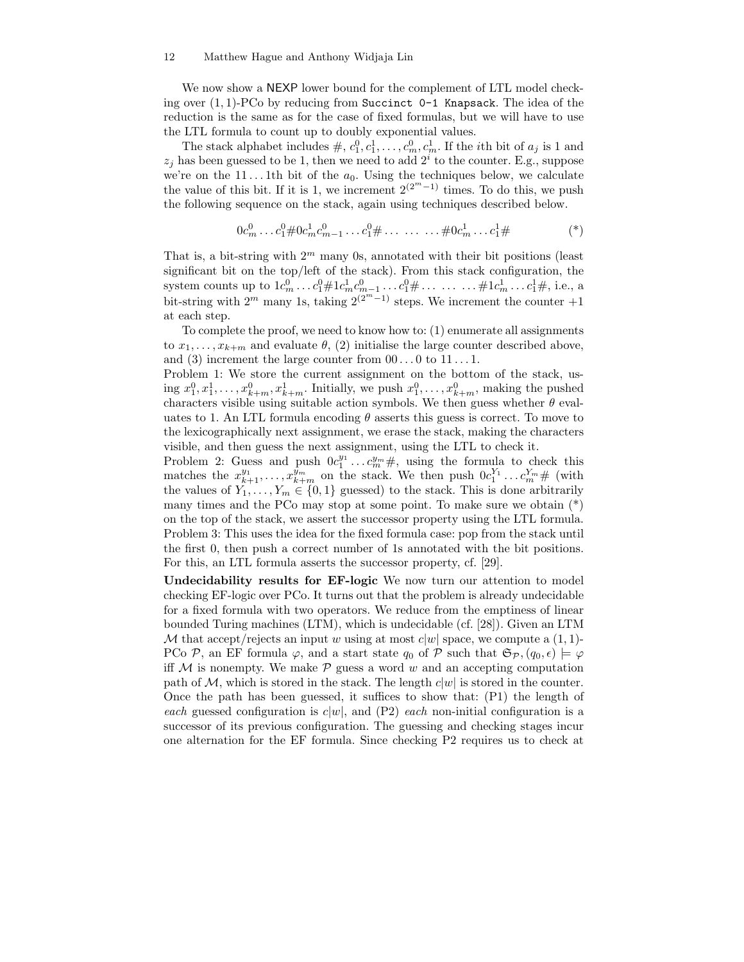#### 12 Matthew Hague and Anthony Widjaja Lin

We now show a NEXP lower bound for the complement of LTL model checking over  $(1, 1)$ -PCo by reducing from Succinct 0-1 Knapsack. The idea of the reduction is the same as for the case of fixed formulas, but we will have to use the LTL formula to count up to doubly exponential values.

The stack alphabet includes  $\#$ ,  $c_1^0, c_1^1, \ldots, c_m^0, c_m^1$ . If the *i*th bit of  $a_j$  is 1 and  $z_j$  has been guessed to be 1, then we need to add  $2^i$  to the counter. E.g., suppose we're on the  $11 \dots 1$ th bit of the  $a_0$ . Using the techniques below, we calculate the value of this bit. If it is 1, we increment  $2^{(2^m-1)}$  times. To do this, we push the following sequence on the stack, again using techniques described below.

$$
0c_m^0 \dots c_1^0 \# 0c_m^1 c_{m-1}^0 \dots c_1^0 \# \dots \dots \dots \# 0c_m^1 \dots c_1^1 \# \tag{*}
$$

That is, a bit-string with  $2^m$  many 0s, annotated with their bit positions (least significant bit on the top/left of the stack). From this stack configuration, the system counts up to  $1c_m^0 \dots c_1^0 \# 1c_m^1 c_{m-1}^0 \dots c_1^0 \# \dots \dots \dots \# 1c_m^1 \dots c_1^1 \#$ , i.e., a bit-string with  $2^m$  many 1s, taking  $2^{(2^m-1)}$  steps. We increment the counter  $+1$ at each step.

To complete the proof, we need to know how to: (1) enumerate all assignments to  $x_1, \ldots, x_{k+m}$  and evaluate  $\theta$ , (2) initialise the large counter described above, and (3) increment the large counter from  $00 \dots 0$  to  $11 \dots 1$ .

Problem 1: We store the current assignment on the bottom of the stack, using  $x_1^0, x_1^1, \ldots, x_{k+m}^0, x_{k+m}^1$ . Initially, we push  $x_1^0, \ldots, x_{k+m}^0$ , making the pushed characters visible using suitable action symbols. We then guess whether  $\theta$  evaluates to 1. An LTL formula encoding  $\theta$  asserts this guess is correct. To move to the lexicographically next assignment, we erase the stack, making the characters visible, and then guess the next assignment, using the LTL to check it.

Problem 2: Guess and push  $0c_1^{y_1} \ldots c_m^{y_m} \#$ , using the formula to check this matches the  $x_{k+1}^{y_1}, \ldots, x_{k+m}^{y_m}$  on the stack. We then push  $0c_1^{Y_1} \ldots c_m^{Y_m} \#$  (with the values of  $Y_1, \ldots, Y_m \in \{0,1\}$  guessed) to the stack. This is done arbitrarily many times and the PCo may stop at some point. To make sure we obtain (\*) on the top of the stack, we assert the successor property using the LTL formula. Problem 3: This uses the idea for the fixed formula case: pop from the stack until the first 0, then push a correct number of 1s annotated with the bit positions. For this, an LTL formula asserts the successor property, cf. [29].

Undecidability results for EF-logic We now turn our attention to model checking EF-logic over PCo. It turns out that the problem is already undecidable for a fixed formula with two operators. We reduce from the emptiness of linear bounded Turing machines (LTM), which is undecidable (cf. [28]). Given an LTM M that accept/rejects an input w using at most  $c|w|$  space, we compute a  $(1, 1)$ -PCo P, an EF formula  $\varphi$ , and a start state  $q_0$  of P such that  $\mathfrak{S}_{\mathcal{P}}$ ,  $(q_0, \epsilon) \models \varphi$ iff  $M$  is nonempty. We make  $P$  guess a word w and an accepting computation path of  $M$ , which is stored in the stack. The length  $c|w|$  is stored in the counter. Once the path has been guessed, it suffices to show that: (P1) the length of each guessed configuration is  $c|w|$ , and (P2) each non-initial configuration is a successor of its previous configuration. The guessing and checking stages incur one alternation for the EF formula. Since checking P2 requires us to check at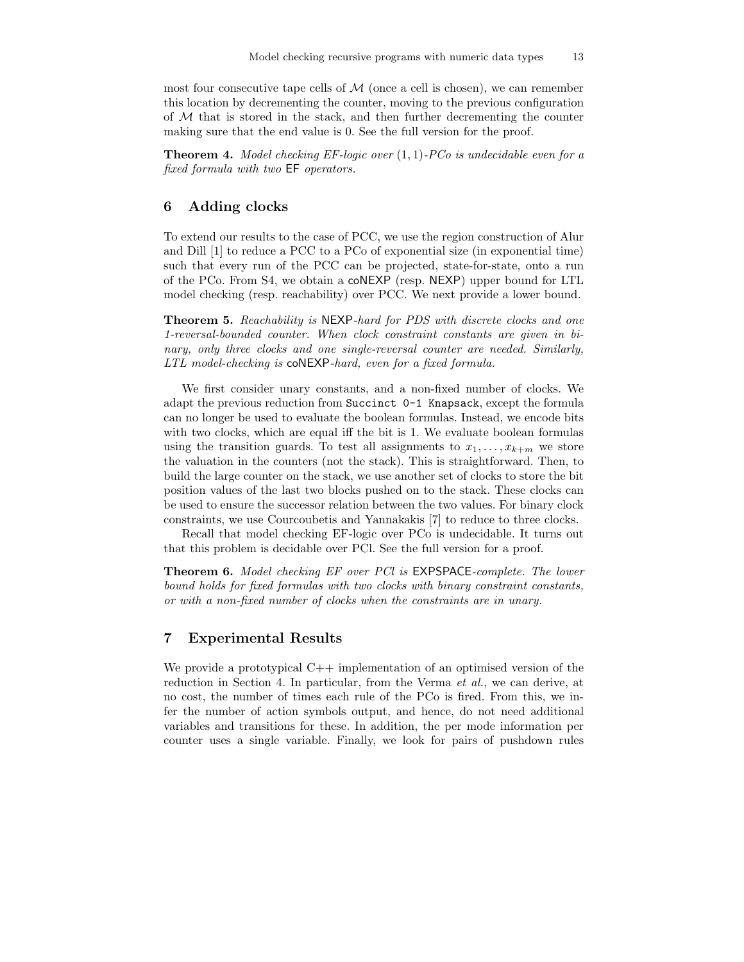most four consecutive tape cells of  $\mathcal M$  (once a cell is chosen), we can remember this location by decrementing the counter, moving to the previous configuration of  $M$  that is stored in the stack, and then further decrementing the counter making sure that the end value is 0. See the full version for the proof.

**Theorem 4.** Model checking EF-logic over  $(1, 1)$ -PCo is undecidable even for a fixed formula with two EF operators.

### 6 Adding clocks

To extend our results to the case of PCC, we use the region construction of Alur and Dill [1] to reduce a PCC to a PCo of exponential size (in exponential time) such that every run of the PCC can be projected, state-for-state, onto a run of the PCo. From S4, we obtain a coNEXP (resp. NEXP) upper bound for LTL model checking (resp. reachability) over PCC. We next provide a lower bound.

Theorem 5. Reachability is NEXP-hard for PDS with discrete clocks and one 1-reversal-bounded counter. When clock constraint constants are given in binary, only three clocks and one single-reversal counter are needed. Similarly, LTL model-checking is coNEXP-hard, even for a fixed formula.

We first consider unary constants, and a non-fixed number of clocks. We adapt the previous reduction from Succinct 0-1 Knapsack, except the formula can no longer be used to evaluate the boolean formulas. Instead, we encode bits with two clocks, which are equal iff the bit is 1. We evaluate boolean formulas using the transition guards. To test all assignments to  $x_1, \ldots, x_{k+m}$  we store the valuation in the counters (not the stack). This is straightforward. Then, to build the large counter on the stack, we use another set of clocks to store the bit position values of the last two blocks pushed on to the stack. These clocks can be used to ensure the successor relation between the two values. For binary clock constraints, we use Courcoubetis and Yannakakis [7] to reduce to three clocks.

Recall that model checking EF-logic over PCo is undecidable. It turns out that this problem is decidable over PCl. See the full version for a proof.

Theorem 6. Model checking EF over PCl is EXPSPACE-complete. The lower bound holds for fixed formulas with two clocks with binary constraint constants, or with a non-fixed number of clocks when the constraints are in unary.

### 7 Experimental Results

We provide a prototypical  $C++$  implementation of an optimised version of the reduction in Section 4. In particular, from the Verma et al., we can derive, at no cost, the number of times each rule of the PCo is fired. From this, we infer the number of action symbols output, and hence, do not need additional variables and transitions for these. In addition, the per mode information per counter uses a single variable. Finally, we look for pairs of pushdown rules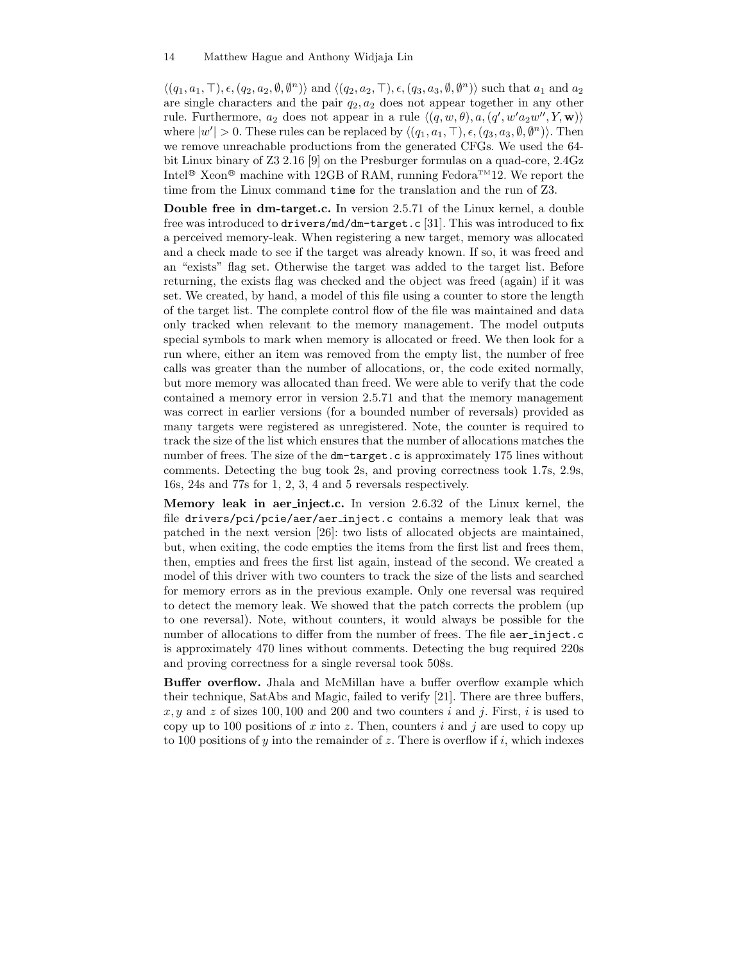$\langle (q_1, a_1, \top), \epsilon, (q_2, a_2, \emptyset, \emptyset^n) \rangle$  and  $\langle (q_2, a_2, \top), \epsilon, (q_3, a_3, \emptyset, \emptyset^n) \rangle$  such that  $a_1$  and  $a_2$ are single characters and the pair  $q_2, a_2$  does not appear together in any other rule. Furthermore,  $a_2$  does not appear in a rule  $\langle (q, w, \theta), a, (q', w' a_2 w'', Y, w) \rangle$ where  $|w'| > 0$ . These rules can be replaced by  $\langle (q_1, a_1, \top), \epsilon, (q_3, a_3, \emptyset, \emptyset^n) \rangle$ . Then we remove unreachable productions from the generated CFGs. We used the 64 bit Linux binary of Z3 2.16 [9] on the Presburger formulas on a quad-core, 2.4Gz Intel<sup>®</sup> Xeon<sup>®</sup> machine with 12GB of RAM, running Fedora<sup>TM</sup>12. We report the time from the Linux command time for the translation and the run of Z3.

Double free in dm-target.c. In version 2.5.71 of the Linux kernel, a double free was introduced to drivers/md/dm-target.c [31]. This was introduced to fix a perceived memory-leak. When registering a new target, memory was allocated and a check made to see if the target was already known. If so, it was freed and an "exists" flag set. Otherwise the target was added to the target list. Before returning, the exists flag was checked and the object was freed (again) if it was set. We created, by hand, a model of this file using a counter to store the length of the target list. The complete control flow of the file was maintained and data only tracked when relevant to the memory management. The model outputs special symbols to mark when memory is allocated or freed. We then look for a run where, either an item was removed from the empty list, the number of free calls was greater than the number of allocations, or, the code exited normally, but more memory was allocated than freed. We were able to verify that the code contained a memory error in version 2.5.71 and that the memory management was correct in earlier versions (for a bounded number of reversals) provided as many targets were registered as unregistered. Note, the counter is required to track the size of the list which ensures that the number of allocations matches the number of frees. The size of the dm-target.c is approximately 175 lines without comments. Detecting the bug took 2s, and proving correctness took 1.7s, 2.9s, 16s, 24s and 77s for 1, 2, 3, 4 and 5 reversals respectively.

Memory leak in aer inject.c. In version 2.6.32 of the Linux kernel, the file drivers/pci/pcie/aer/aer inject.c contains a memory leak that was patched in the next version [26]: two lists of allocated objects are maintained, but, when exiting, the code empties the items from the first list and frees them, then, empties and frees the first list again, instead of the second. We created a model of this driver with two counters to track the size of the lists and searched for memory errors as in the previous example. Only one reversal was required to detect the memory leak. We showed that the patch corrects the problem (up to one reversal). Note, without counters, it would always be possible for the number of allocations to differ from the number of frees. The file  $aer_inject.c$ is approximately 470 lines without comments. Detecting the bug required 220s and proving correctness for a single reversal took 508s.

Buffer overflow. Jhala and McMillan have a buffer overflow example which their technique, SatAbs and Magic, failed to verify [21]. There are three buffers, x, y and z of sizes 100, 100 and 200 and two counters i and j. First, i is used to copy up to 100 positions of x into z. Then, counters i and j are used to copy up to 100 positions of y into the remainder of z. There is overflow if i, which indexes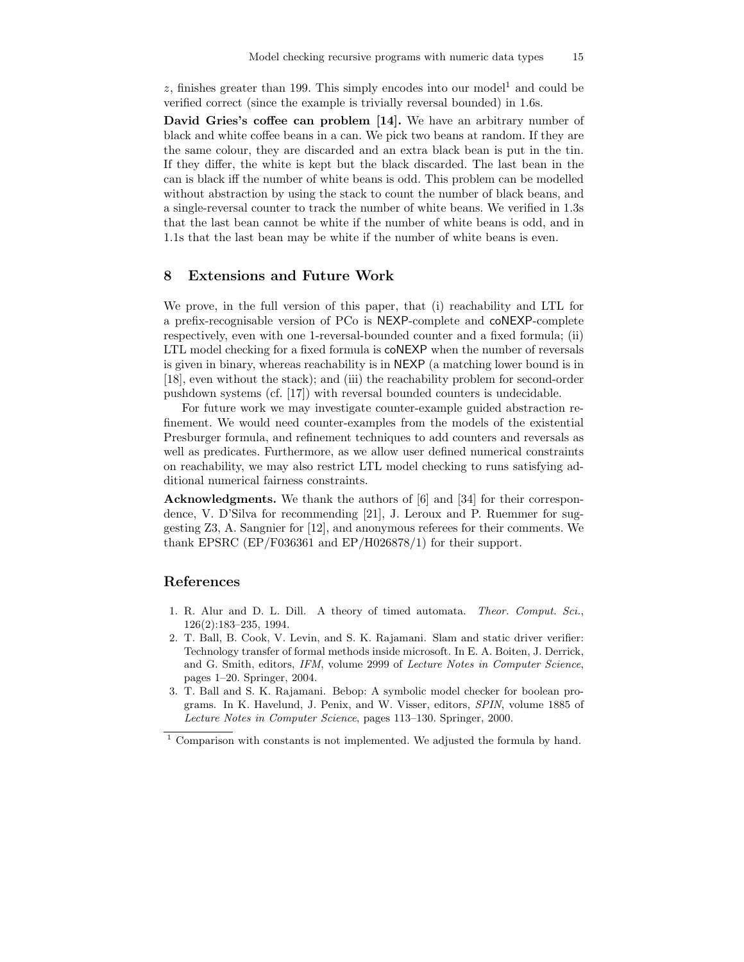z, finishes greater than 199. This simply encodes into our model<sup>1</sup> and could be verified correct (since the example is trivially reversal bounded) in 1.6s.

David Gries's coffee can problem [14]. We have an arbitrary number of black and white coffee beans in a can. We pick two beans at random. If they are the same colour, they are discarded and an extra black bean is put in the tin. If they differ, the white is kept but the black discarded. The last bean in the can is black iff the number of white beans is odd. This problem can be modelled without abstraction by using the stack to count the number of black beans, and a single-reversal counter to track the number of white beans. We verified in 1.3s that the last bean cannot be white if the number of white beans is odd, and in 1.1s that the last bean may be white if the number of white beans is even.

### 8 Extensions and Future Work

We prove, in the full version of this paper, that (i) reachability and LTL for a prefix-recognisable version of PCo is NEXP-complete and coNEXP-complete respectively, even with one 1-reversal-bounded counter and a fixed formula; (ii) LTL model checking for a fixed formula is coNEXP when the number of reversals is given in binary, whereas reachability is in NEXP (a matching lower bound is in [18], even without the stack); and (iii) the reachability problem for second-order pushdown systems (cf. [17]) with reversal bounded counters is undecidable.

For future work we may investigate counter-example guided abstraction refinement. We would need counter-examples from the models of the existential Presburger formula, and refinement techniques to add counters and reversals as well as predicates. Furthermore, as we allow user defined numerical constraints on reachability, we may also restrict LTL model checking to runs satisfying additional numerical fairness constraints.

Acknowledgments. We thank the authors of [6] and [34] for their correspondence, V. D'Silva for recommending [21], J. Leroux and P. Ruemmer for suggesting Z3, A. Sangnier for [12], and anonymous referees for their comments. We thank EPSRC (EP/F036361 and EP/H026878/1) for their support.

### References

- 1. R. Alur and D. L. Dill. A theory of timed automata. *Theor. Comput. Sci.*, 126(2):183–235, 1994.
- 2. T. Ball, B. Cook, V. Levin, and S. K. Rajamani. Slam and static driver verifier: Technology transfer of formal methods inside microsoft. In E. A. Boiten, J. Derrick, and G. Smith, editors, *IFM*, volume 2999 of *Lecture Notes in Computer Science*, pages 1–20. Springer, 2004.
- 3. T. Ball and S. K. Rajamani. Bebop: A symbolic model checker for boolean programs. In K. Havelund, J. Penix, and W. Visser, editors, *SPIN*, volume 1885 of *Lecture Notes in Computer Science*, pages 113–130. Springer, 2000.

 $1$  Comparison with constants is not implemented. We adjusted the formula by hand.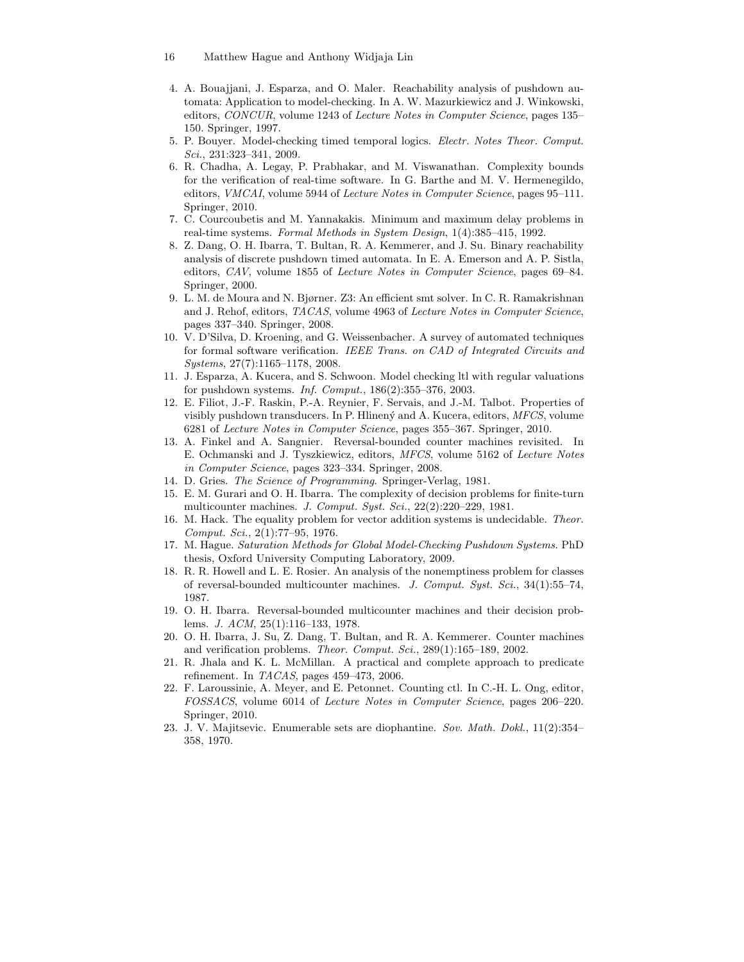- 4. A. Bouajjani, J. Esparza, and O. Maler. Reachability analysis of pushdown automata: Application to model-checking. In A. W. Mazurkiewicz and J. Winkowski, editors, *CONCUR*, volume 1243 of *Lecture Notes in Computer Science*, pages 135– 150. Springer, 1997.
- 5. P. Bouyer. Model-checking timed temporal logics. *Electr. Notes Theor. Comput. Sci.*, 231:323–341, 2009.
- 6. R. Chadha, A. Legay, P. Prabhakar, and M. Viswanathan. Complexity bounds for the verification of real-time software. In G. Barthe and M. V. Hermenegildo, editors, *VMCAI*, volume 5944 of *Lecture Notes in Computer Science*, pages 95–111. Springer, 2010.
- 7. C. Courcoubetis and M. Yannakakis. Minimum and maximum delay problems in real-time systems. *Formal Methods in System Design*, 1(4):385–415, 1992.
- 8. Z. Dang, O. H. Ibarra, T. Bultan, R. A. Kemmerer, and J. Su. Binary reachability analysis of discrete pushdown timed automata. In E. A. Emerson and A. P. Sistla, editors, *CAV*, volume 1855 of *Lecture Notes in Computer Science*, pages 69–84. Springer, 2000.
- 9. L. M. de Moura and N. Bjørner. Z3: An efficient smt solver. In C. R. Ramakrishnan and J. Rehof, editors, *TACAS*, volume 4963 of *Lecture Notes in Computer Science*, pages 337–340. Springer, 2008.
- 10. V. D'Silva, D. Kroening, and G. Weissenbacher. A survey of automated techniques for formal software verification. *IEEE Trans. on CAD of Integrated Circuits and Systems*, 27(7):1165–1178, 2008.
- 11. J. Esparza, A. Kucera, and S. Schwoon. Model checking ltl with regular valuations for pushdown systems. *Inf. Comput.*, 186(2):355–376, 2003.
- 12. E. Filiot, J.-F. Raskin, P.-A. Reynier, F. Servais, and J.-M. Talbot. Properties of visibly pushdown transducers. In P. Hlinen´y and A. Kucera, editors, *MFCS*, volume 6281 of *Lecture Notes in Computer Science*, pages 355–367. Springer, 2010.
- 13. A. Finkel and A. Sangnier. Reversal-bounded counter machines revisited. In E. Ochmanski and J. Tyszkiewicz, editors, *MFCS*, volume 5162 of *Lecture Notes in Computer Science*, pages 323–334. Springer, 2008.
- 14. D. Gries. *The Science of Programming*. Springer-Verlag, 1981.
- 15. E. M. Gurari and O. H. Ibarra. The complexity of decision problems for finite-turn multicounter machines. *J. Comput. Syst. Sci.*, 22(2):220–229, 1981.
- 16. M. Hack. The equality problem for vector addition systems is undecidable. *Theor. Comput. Sci.*, 2(1):77–95, 1976.
- 17. M. Hague. *Saturation Methods for Global Model-Checking Pushdown Systems*. PhD thesis, Oxford University Computing Laboratory, 2009.
- 18. R. R. Howell and L. E. Rosier. An analysis of the nonemptiness problem for classes of reversal-bounded multicounter machines. *J. Comput. Syst. Sci.*, 34(1):55–74, 1987.
- 19. O. H. Ibarra. Reversal-bounded multicounter machines and their decision problems. *J. ACM*, 25(1):116–133, 1978.
- 20. O. H. Ibarra, J. Su, Z. Dang, T. Bultan, and R. A. Kemmerer. Counter machines and verification problems. *Theor. Comput. Sci.*, 289(1):165–189, 2002.
- 21. R. Jhala and K. L. McMillan. A practical and complete approach to predicate refinement. In *TACAS*, pages 459–473, 2006.
- 22. F. Laroussinie, A. Meyer, and E. Petonnet. Counting ctl. In C.-H. L. Ong, editor, *FOSSACS*, volume 6014 of *Lecture Notes in Computer Science*, pages 206–220. Springer, 2010.
- 23. J. V. Majitsevic. Enumerable sets are diophantine. *Sov. Math. Dokl.*, 11(2):354– 358, 1970.

<sup>16</sup> Matthew Hague and Anthony Widjaja Lin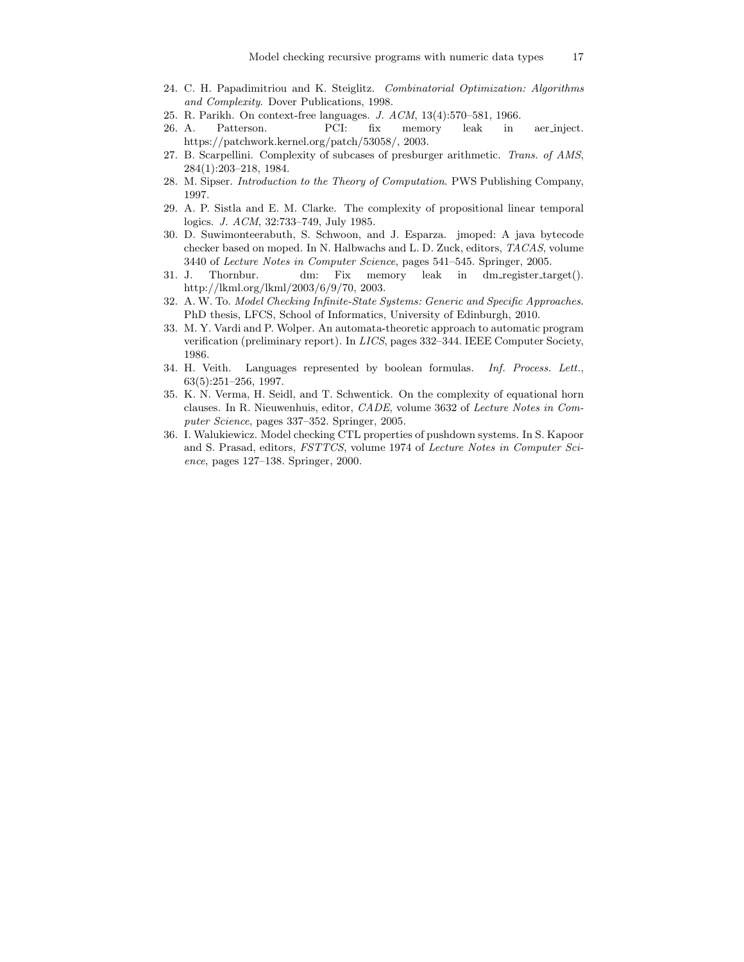- 24. C. H. Papadimitriou and K. Steiglitz. *Combinatorial Optimization: Algorithms and Complexity*. Dover Publications, 1998.
- 25. R. Parikh. On context-free languages. *J. ACM*, 13(4):570–581, 1966.
- 26. A. Patterson. PCI: fix memory leak in aer inject. https://patchwork.kernel.org/patch/53058/, 2003.
- 27. B. Scarpellini. Complexity of subcases of presburger arithmetic. *Trans. of AMS*, 284(1):203–218, 1984.
- 28. M. Sipser. *Introduction to the Theory of Computation*. PWS Publishing Company, 1997.
- 29. A. P. Sistla and E. M. Clarke. The complexity of propositional linear temporal logics. *J. ACM*, 32:733–749, July 1985.
- 30. D. Suwimonteerabuth, S. Schwoon, and J. Esparza. jmoped: A java bytecode checker based on moped. In N. Halbwachs and L. D. Zuck, editors, *TACAS*, volume 3440 of *Lecture Notes in Computer Science*, pages 541–545. Springer, 2005.
- 31. J. Thornbur. dm: Fix memory leak in dm\_register\_target(). http://lkml.org/lkml/2003/6/9/70, 2003.
- 32. A. W. To. *Model Checking Infinite-State Systems: Generic and Specific Approaches*. PhD thesis, LFCS, School of Informatics, University of Edinburgh, 2010.
- 33. M. Y. Vardi and P. Wolper. An automata-theoretic approach to automatic program verification (preliminary report). In *LICS*, pages 332–344. IEEE Computer Society, 1986.
- 34. H. Veith. Languages represented by boolean formulas. *Inf. Process. Lett.*, 63(5):251–256, 1997.
- 35. K. N. Verma, H. Seidl, and T. Schwentick. On the complexity of equational horn clauses. In R. Nieuwenhuis, editor, *CADE*, volume 3632 of *Lecture Notes in Computer Science*, pages 337–352. Springer, 2005.
- 36. I. Walukiewicz. Model checking CTL properties of pushdown systems. In S. Kapoor and S. Prasad, editors, *FSTTCS*, volume 1974 of *Lecture Notes in Computer Science*, pages 127–138. Springer, 2000.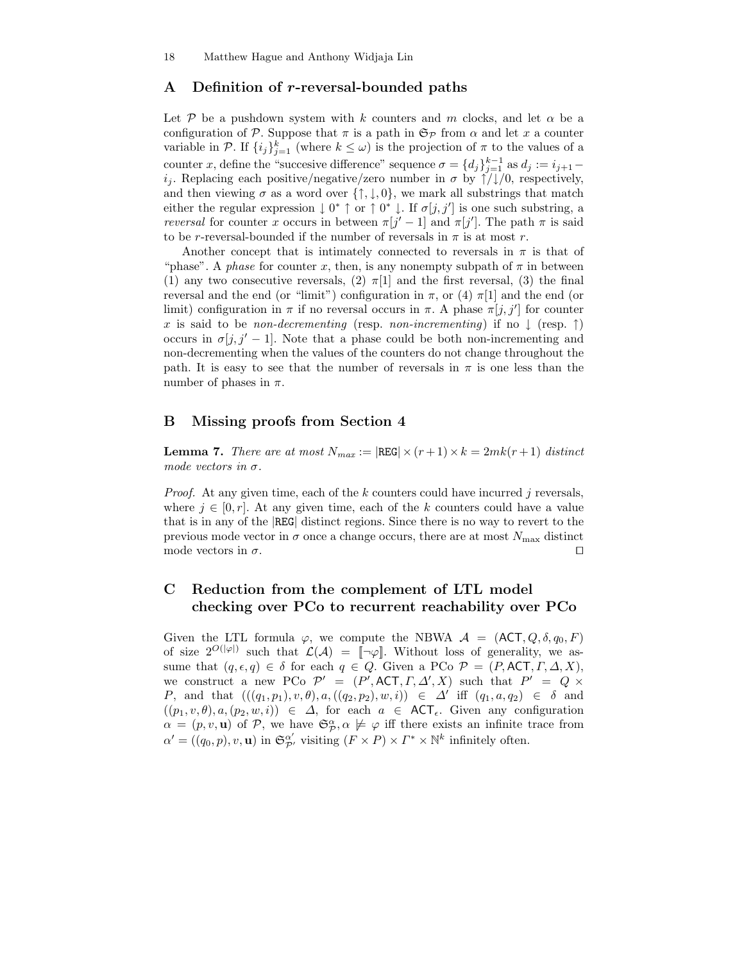### A Definition of r-reversal-bounded paths

Let P be a pushdown system with k counters and m clocks, and let  $\alpha$  be a configuration of P. Suppose that  $\pi$  is a path in  $\mathfrak{S}_{\mathcal{P}}$  from  $\alpha$  and let x a counter variable in P. If  $\{i_j\}_{j=1}^k$  (where  $k \leq \omega$ ) is the projection of  $\pi$  to the values of a counter x, define the "succesive difference" sequence  $\sigma = \{d_j\}_{j=1}^{k-1}$  as  $d_j := i_{j+1}$  $i_j$ . Replacing each positive/negative/zero number in  $\sigma$  by  $\tilde{\uparrow}/\downarrow/0$ , respectively, and then viewing  $\sigma$  as a word over  $\{\uparrow, \downarrow, 0\}$ , we mark all substrings that match either the regular expression  $\downarrow 0^* \uparrow$  or  $\uparrow 0^* \downarrow$ . If  $\sigma[j, j']$  is one such substring, a *reversal* for counter x occurs in between  $\pi[j'-1]$  and  $\pi[j']$ . The path  $\pi$  is said to be r-reversal-bounded if the number of reversals in  $\pi$  is at most r.

Another concept that is intimately connected to reversals in  $\pi$  is that of "phase". A phase for counter x, then, is any nonempty subpath of  $\pi$  in between (1) any two consecutive reversals, (2)  $\pi$ [1] and the first reversal, (3) the final reversal and the end (or "limit") configuration in  $\pi$ , or (4)  $\pi$ [1] and the end (or limit) configuration in  $\pi$  if no reversal occurs in  $\pi$ . A phase  $\pi[j, j']$  for counter x is said to be *non-decrementing* (resp. *non-incrementing*) if no  $\downarrow$  (resp.  $\uparrow$ ) occurs in  $\sigma[j, j'-1]$ . Note that a phase could be both non-incrementing and non-decrementing when the values of the counters do not change throughout the path. It is easy to see that the number of reversals in  $\pi$  is one less than the number of phases in  $\pi$ .

#### B Missing proofs from Section 4

**Lemma 7.** There are at most  $N_{max} := |\text{REG}| \times (r+1) \times k = 2mk(r+1)$  distinct mode vectors in  $\sigma$ .

*Proof.* At any given time, each of the  $k$  counters could have incurred  $j$  reversals, where  $j \in [0, r]$ . At any given time, each of the k counters could have a value that is in any of the |REG| distinct regions. Since there is no way to revert to the previous mode vector in  $\sigma$  once a change occurs, there are at most  $N_{\text{max}}$  distinct mode vectors in  $\sigma$ . □

## C Reduction from the complement of LTL model checking over PCo to recurrent reachability over PCo

Given the LTL formula  $\varphi$ , we compute the NBWA  $\mathcal{A} = (ACT, Q, \delta, q_0, F)$ of size  $2^{O(|\varphi|)}$  such that  $\mathcal{L}(\mathcal{A}) = [\neg \varphi]$ . Without loss of generality, we assume that  $(q, \epsilon, q) \in \delta$  for each  $q \in Q$ . Given a PCo  $\mathcal{P} = (P, \text{ACT}, \Gamma, \Delta, X)$ , we construct a new PCo  $\mathcal{P}' = (P', \text{ACT}, \Gamma, \Delta', X)$  such that  $P' = Q \times$ P, and that  $(((q_1, p_1), v, \theta), a, ((q_2, p_2), w, i)) \in \Delta'$  iff  $(q_1, a, q_2) \in \delta$  and  $((p_1, v, \theta), a, (p_2, w, i)) \in \Delta$ , for each  $a \in \text{ACT}_{\epsilon}$ . Given any configuration  $\alpha = (p, v, u)$  of P, we have  $\mathfrak{S}_{\mathcal{P}}^{\alpha}, \alpha \not\models \varphi$  iff there exists an infinite trace from  $\alpha' = ((q_0, p), v, \mathbf{u})$  in  $\mathfrak{S}_{\mathcal{P}'}^{\alpha'}$  visiting  $(F \times P) \times \Gamma^* \times \mathbb{N}^k$  infinitely often.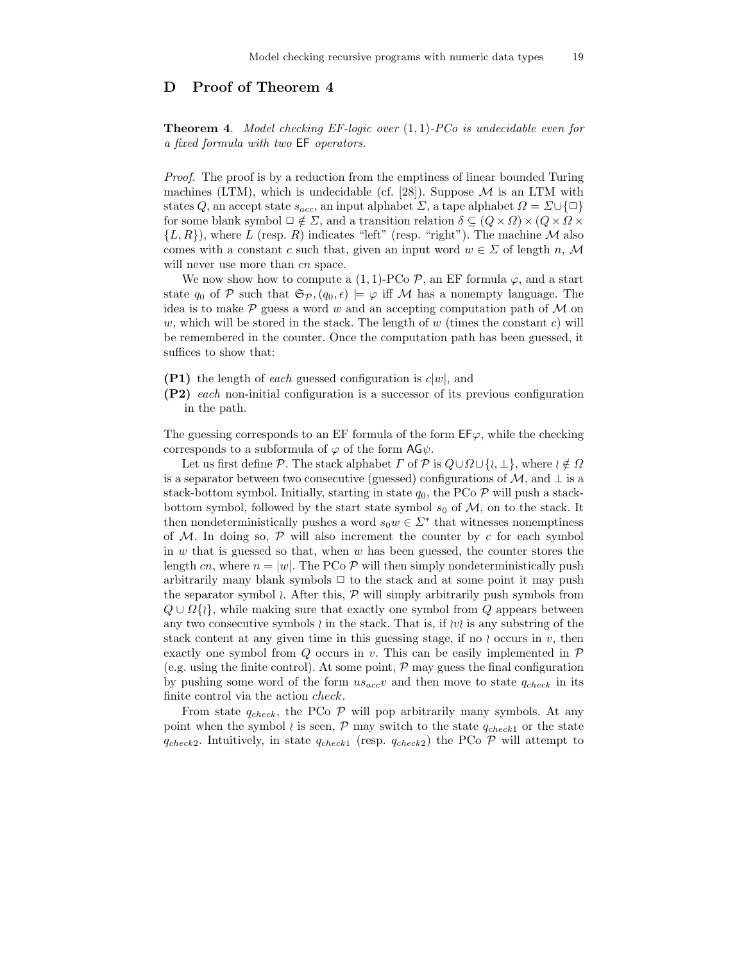### D Proof of Theorem 4

**Theorem 4.** Model checking EF-logic over  $(1,1)$ -PCo is undecidable even for a fixed formula with two EF operators.

Proof. The proof is by a reduction from the emptiness of linear bounded Turing machines (LTM), which is undecidable (cf. [28]). Suppose  $\mathcal M$  is an LTM with states Q, an accept state  $s_{acc}$ , an input alphabet  $\Sigma$ , a tape alphabet  $\Omega = \Sigma \cup \{\square\}$ for some blank symbol  $\Box \notin \Sigma$ , and a transition relation  $\delta \subseteq (Q \times \Omega) \times (Q \times \Omega \times \Sigma)$  $\{L, R\}$ , where L (resp. R) indicates "left" (resp. "right"). The machine M also comes with a constant c such that, given an input word  $w \in \Sigma$  of length n, M will never use more than cn space.

We now show how to compute a  $(1, 1)$ -PCo  $P$ , an EF formula  $\varphi$ , and a start state  $q_0$  of P such that  $\mathfrak{S}_{\mathcal{P}}$ ,  $(q_0, \epsilon) \models \varphi$  iff M has a nonempty language. The idea is to make  $P$  guess a word w and an accepting computation path of  $M$  on w, which will be stored in the stack. The length of w (times the constant c) will be remembered in the counter. Once the computation path has been guessed, it suffices to show that:

- (P1) the length of each guessed configuration is  $c|w|$ , and
- (P2) each non-initial configuration is a successor of its previous configuration in the path.

The guessing corresponds to an EF formula of the form  $E\mathsf{F}\varphi$ , while the checking corresponds to a subformula of  $\varphi$  of the form AG $\psi$ .

Let us first define P. The stack alphabet  $\Gamma$  of P is  $Q\cup\Omega\cup\{\lambda,\perp\}$ , where  $\lambda\notin\Omega$ is a separator between two consecutive (guessed) configurations of  $M$ , and  $\perp$  is a stack-bottom symbol. Initially, starting in state  $q_0$ , the PCo  $P$  will push a stackbottom symbol, followed by the start state symbol  $s_0$  of  $M$ , on to the stack. It then nondeterministically pushes a word  $s_0w \in \Sigma^*$  that witnesses nonemptiness of  $M$ . In doing so,  $P$  will also increment the counter by c for each symbol in  $w$  that is guessed so that, when  $w$  has been guessed, the counter stores the length cn, where  $n = |w|$ . The PCo  $\mathcal P$  will then simply nondeterministically push arbitrarily many blank symbols  $\Box$  to the stack and at some point it may push the separator symbol  $\lambda$ . After this,  $\mathcal P$  will simply arbitrarily push symbols from  $Q \cup \Omega\{\}\$ , while making sure that exactly one symbol from Q appears between any two consecutive symbols  $\wr$  in the stack. That is, if  $\wr v$  is any substring of the stack content at any given time in this guessing stage, if no  $\ell$  occurs in v, then exactly one symbol from  $Q$  occurs in  $v$ . This can be easily implemented in  $P$ (e.g. using the finite control). At some point,  $P$  may guess the final configuration by pushing some word of the form  $us_{acc}v$  and then move to state  $q_{check}$  in its finite control via the action check.

From state  $q_{check}$ , the PCo  $\mathcal P$  will pop arbitrarily many symbols. At any point when the symbol  $\wr$  is seen,  $\mathcal{P}$  may switch to the state  $q_{check1}$  or the state  $q_{check2}$ . Intuitively, in state  $q_{check1}$  (resp.  $q_{check2}$ ) the PCo  $P$  will attempt to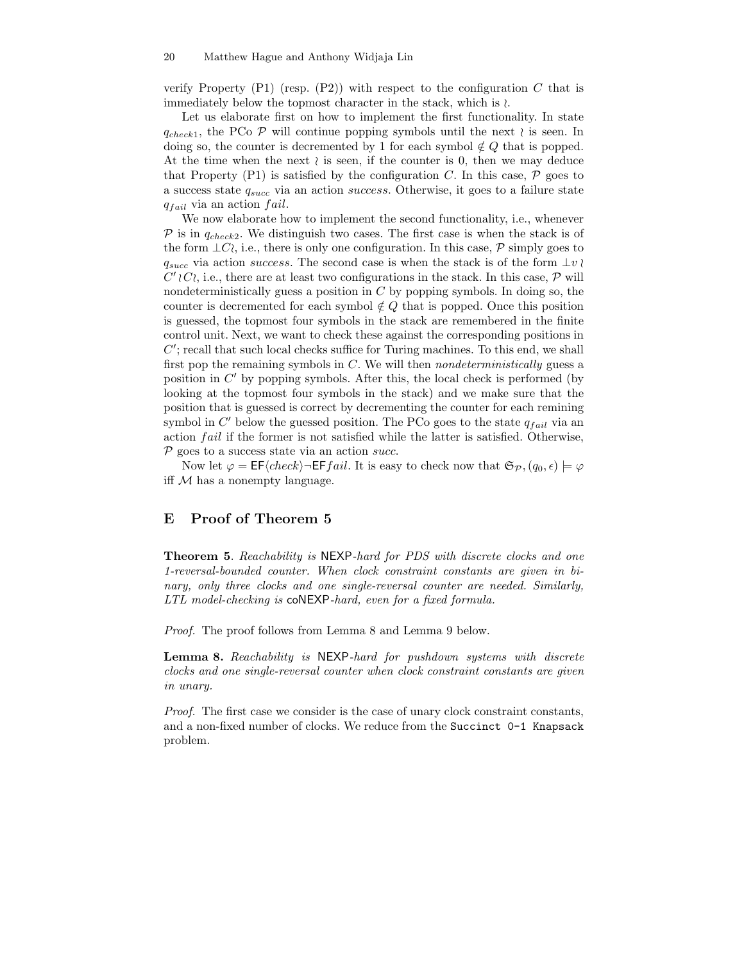verify Property  $(P1)$  (resp.  $(P2)$ ) with respect to the configuration C that is immediately below the topmost character in the stack, which is ≀.

Let us elaborate first on how to implement the first functionality. In state  $q_{check1}$ , the PCo P will continue popping symbols until the next  $\wr$  is seen. In doing so, the counter is decremented by 1 for each symbol  $\notin Q$  that is popped. At the time when the next  $\wr$  is seen, if the counter is 0, then we may deduce that Property  $(P1)$  is satisfied by the configuration C. In this case,  $P$  goes to a success state  $q_{succ}$  via an action success. Otherwise, it goes to a failure state  $q_{fail}$  via an action  $fail.$ 

We now elaborate how to implement the second functionality, i.e., whenever  $P$  is in  $q_{check2}$ . We distinguish two cases. The first case is when the stack is of the form  $\perp C_l$ , i.e., there is only one configuration. In this case,  $\mathcal P$  simply goes to  $q_{succ}$  via action success. The second case is when the stack is of the form  $\perp v$  *l*  $C' \wr C$ , i.e., there are at least two configurations in the stack. In this case,  $\mathcal{P}$  will nondeterministically guess a position in  $C$  by popping symbols. In doing so, the counter is decremented for each symbol  $\notin Q$  that is popped. Once this position is guessed, the topmost four symbols in the stack are remembered in the finite control unit. Next, we want to check these against the corresponding positions in  $C'$ ; recall that such local checks suffice for Turing machines. To this end, we shall first pop the remaining symbols in  $C$ . We will then *nondeterministically* guess a position in  $C'$  by popping symbols. After this, the local check is performed (by looking at the topmost four symbols in the stack) and we make sure that the position that is guessed is correct by decrementing the counter for each remining symbol in  $C'$  below the guessed position. The PCo goes to the state  $q_{fail}$  via an action fail if the former is not satisfied while the latter is satisfied. Otherwise,  $P$  goes to a success state via an action succ.

Now let  $\varphi = \mathsf{EF}\langle check \rangle \neg \mathsf{EF}\{ail.$  It is easy to check now that  $\mathfrak{S}_{\mathcal{P}}, (q_0, \epsilon) \models \varphi$ iff  $M$  has a nonempty language.

### E Proof of Theorem 5

Theorem 5. Reachability is NEXP-hard for PDS with discrete clocks and one 1-reversal-bounded counter. When clock constraint constants are given in binary, only three clocks and one single-reversal counter are needed. Similarly, LTL model-checking is coNEXP-hard, even for a fixed formula.

Proof. The proof follows from Lemma 8 and Lemma 9 below.

Lemma 8. Reachability is NEXP-hard for pushdown systems with discrete clocks and one single-reversal counter when clock constraint constants are given in unary.

Proof. The first case we consider is the case of unary clock constraint constants, and a non-fixed number of clocks. We reduce from the Succinct 0-1 Knapsack problem.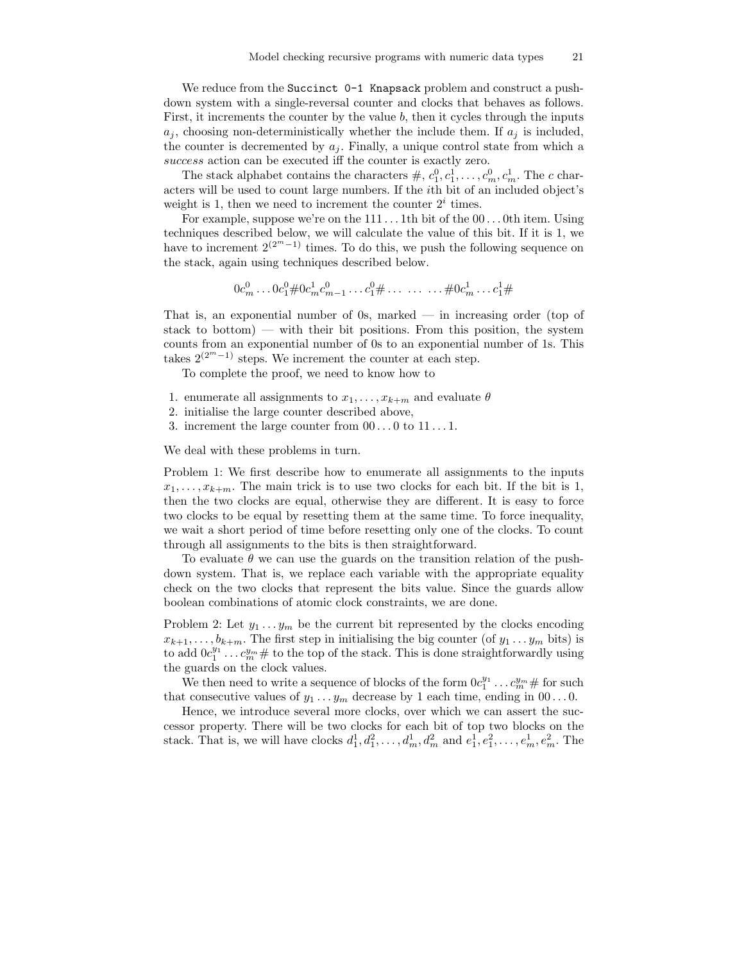We reduce from the Succinct 0-1 Knapsack problem and construct a pushdown system with a single-reversal counter and clocks that behaves as follows. First, it increments the counter by the value  $b$ , then it cycles through the inputs  $a_j$ , choosing non-deterministically whether the include them. If  $a_j$  is included, the counter is decremented by  $a_i$ . Finally, a unique control state from which a success action can be executed iff the counter is exactly zero.

The stack alphabet contains the characters  $\#$ ,  $c_1^0, c_1^1, \ldots, c_m^0, c_m^1$ . The c characters will be used to count large numbers. If the ith bit of an included object's weight is 1, then we need to increment the counter  $2^i$  times.

For example, suppose we're on the  $111 \dots 1$ th bit of the  $00 \dots 0$ th item. Using techniques described below, we will calculate the value of this bit. If it is 1, we have to increment  $2^{(2^m-1)}$  times. To do this, we push the following sequence on the stack, again using techniques described below.

$$
0c_m^0 \dots 0c_1^0 \# 0c_m^1 c_{m-1}^0 \dots c_1^0 \# \dots \dots \dots \dots \# 0c_m^1 \dots c_1^1 \#
$$

That is, an exponential number of 0s, marked  $-$  in increasing order (top of stack to bottom) — with their bit positions. From this position, the system counts from an exponential number of 0s to an exponential number of 1s. This takes  $2^{(2^m-1)}$  steps. We increment the counter at each step.

To complete the proof, we need to know how to

- 1. enumerate all assignments to  $x_1, \ldots, x_{k+m}$  and evaluate  $\theta$
- 2. initialise the large counter described above,
- 3. increment the large counter from  $00 \dots 0$  to  $11 \dots 1$ .

We deal with these problems in turn.

Problem 1: We first describe how to enumerate all assignments to the inputs  $x_1, \ldots, x_{k+m}$ . The main trick is to use two clocks for each bit. If the bit is 1, then the two clocks are equal, otherwise they are different. It is easy to force two clocks to be equal by resetting them at the same time. To force inequality, we wait a short period of time before resetting only one of the clocks. To count through all assignments to the bits is then straightforward.

To evaluate  $\theta$  we can use the guards on the transition relation of the pushdown system. That is, we replace each variable with the appropriate equality check on the two clocks that represent the bits value. Since the guards allow boolean combinations of atomic clock constraints, we are done.

Problem 2: Let  $y_1 \ldots y_m$  be the current bit represented by the clocks encoding  $x_{k+1}, \ldots, b_{k+m}$ . The first step in initialising the big counter (of  $y_1 \ldots y_m$  bits) is to add  $0c_1^{y_1} \ldots c_m^{y_m} \#$  to the top of the stack. This is done straightforwardly using the guards on the clock values.

We then need to write a sequence of blocks of the form  $0c_1^{y_1} \ldots c_m^{y_m} \#$  for such that consecutive values of  $y_1 \ldots y_m$  decrease by 1 each time, ending in  $00 \ldots 0$ .

Hence, we introduce several more clocks, over which we can assert the successor property. There will be two clocks for each bit of top two blocks on the stack. That is, we will have clocks  $d_1^1, d_1^2, \ldots, d_m^1, d_m^2$  and  $e_1^1, e_1^2, \ldots, e_m^1, e_m^2$ . The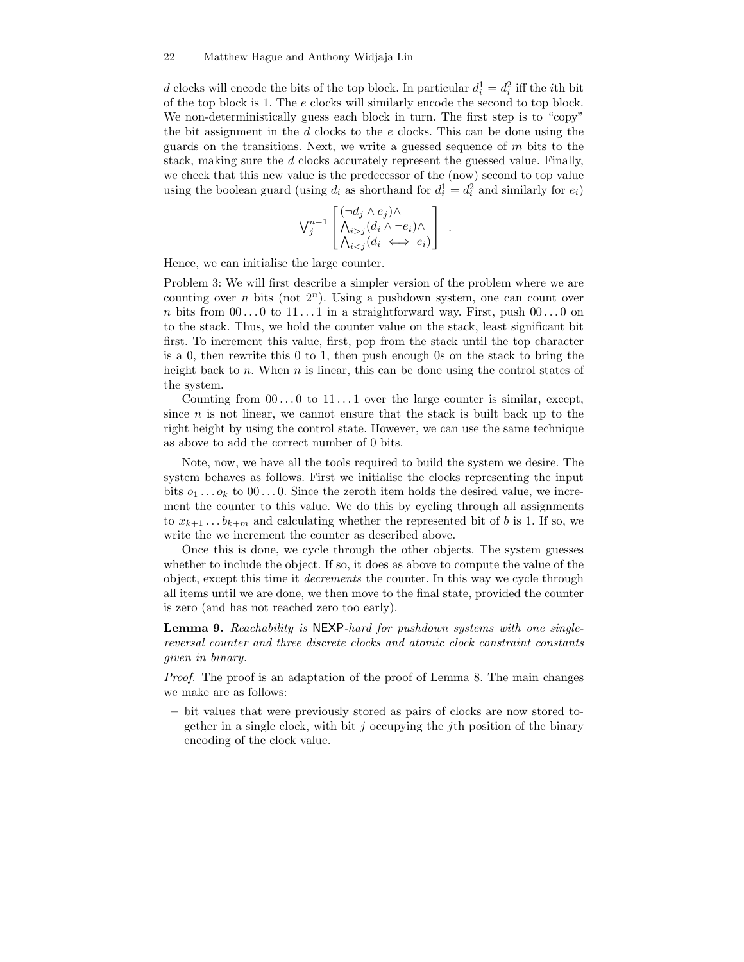d clocks will encode the bits of the top block. In particular  $d_i^1 = d_i^2$  iff the *i*th bit of the top block is 1. The e clocks will similarly encode the second to top block. We non-deterministically guess each block in turn. The first step is to "copy" the bit assignment in the  $d$  clocks to the  $e$  clocks. This can be done using the guards on the transitions. Next, we write a guessed sequence of  $m$  bits to the stack, making sure the d clocks accurately represent the guessed value. Finally, we check that this new value is the predecessor of the (now) second to top value using the boolean guard (using  $d_i$  as shorthand for  $d_i^1 = d_i^2$  and similarly for  $e_i$ )

$$
\mathsf{V}_{j}^{n-1}\begin{bmatrix}\n(\neg d_j \land e_j) \land \\
\bigwedge_{i>j}\n(d_i \land \neg e_i) \land \\
\bigwedge_{i
$$

Hence, we can initialise the large counter.

Problem 3: We will first describe a simpler version of the problem where we are counting over n bits (not  $2^n$ ). Using a pushdown system, one can count over n bits from  $00...0$  to  $11...1$  in a straightforward way. First, push  $00...0$  on to the stack. Thus, we hold the counter value on the stack, least significant bit first. To increment this value, first, pop from the stack until the top character is a 0, then rewrite this  $\theta$  to 1, then push enough  $\theta$ s on the stack to bring the height back to n. When n is linear, this can be done using the control states of the system.

Counting from  $00...0$  to  $11...1$  over the large counter is similar, except, since  $n$  is not linear, we cannot ensure that the stack is built back up to the right height by using the control state. However, we can use the same technique as above to add the correct number of 0 bits.

Note, now, we have all the tools required to build the system we desire. The system behaves as follows. First we initialise the clocks representing the input bits  $o_1 \dots o_k$  to  $00 \dots 0$ . Since the zeroth item holds the desired value, we increment the counter to this value. We do this by cycling through all assignments to  $x_{k+1} \ldots b_{k+m}$  and calculating whether the represented bit of b is 1. If so, we write the we increment the counter as described above.

Once this is done, we cycle through the other objects. The system guesses whether to include the object. If so, it does as above to compute the value of the object, except this time it decrements the counter. In this way we cycle through all items until we are done, we then move to the final state, provided the counter is zero (and has not reached zero too early).

Lemma 9. Reachability is NEXP-hard for pushdown systems with one singlereversal counter and three discrete clocks and atomic clock constraint constants given in binary.

Proof. The proof is an adaptation of the proof of Lemma 8. The main changes we make are as follows:

– bit values that were previously stored as pairs of clocks are now stored together in a single clock, with bit  $j$  occupying the  $j$ th position of the binary encoding of the clock value.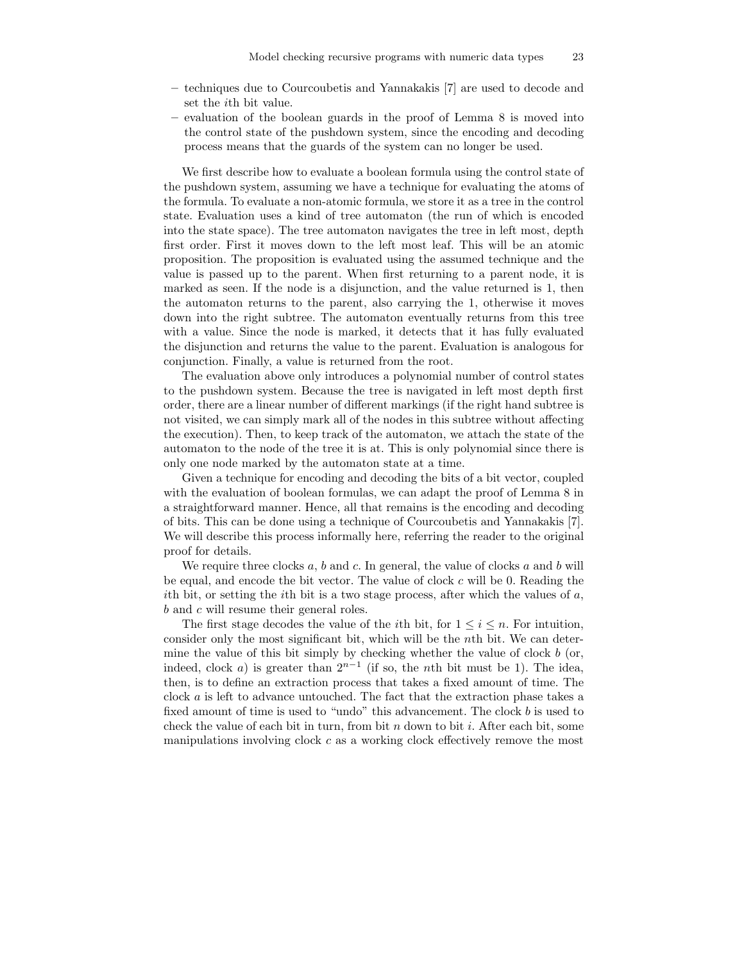- techniques due to Courcoubetis and Yannakakis [7] are used to decode and set the ith bit value.
- evaluation of the boolean guards in the proof of Lemma 8 is moved into the control state of the pushdown system, since the encoding and decoding process means that the guards of the system can no longer be used.

We first describe how to evaluate a boolean formula using the control state of the pushdown system, assuming we have a technique for evaluating the atoms of the formula. To evaluate a non-atomic formula, we store it as a tree in the control state. Evaluation uses a kind of tree automaton (the run of which is encoded into the state space). The tree automaton navigates the tree in left most, depth first order. First it moves down to the left most leaf. This will be an atomic proposition. The proposition is evaluated using the assumed technique and the value is passed up to the parent. When first returning to a parent node, it is marked as seen. If the node is a disjunction, and the value returned is 1, then the automaton returns to the parent, also carrying the 1, otherwise it moves down into the right subtree. The automaton eventually returns from this tree with a value. Since the node is marked, it detects that it has fully evaluated the disjunction and returns the value to the parent. Evaluation is analogous for conjunction. Finally, a value is returned from the root.

The evaluation above only introduces a polynomial number of control states to the pushdown system. Because the tree is navigated in left most depth first order, there are a linear number of different markings (if the right hand subtree is not visited, we can simply mark all of the nodes in this subtree without affecting the execution). Then, to keep track of the automaton, we attach the state of the automaton to the node of the tree it is at. This is only polynomial since there is only one node marked by the automaton state at a time.

Given a technique for encoding and decoding the bits of a bit vector, coupled with the evaluation of boolean formulas, we can adapt the proof of Lemma 8 in a straightforward manner. Hence, all that remains is the encoding and decoding of bits. This can be done using a technique of Courcoubetis and Yannakakis [7]. We will describe this process informally here, referring the reader to the original proof for details.

We require three clocks  $a, b$  and  $c$ . In general, the value of clocks  $a$  and  $b$  will be equal, and encode the bit vector. The value of clock c will be 0. Reading the ith bit, or setting the *i*th bit is a two stage process, after which the values of  $a$ , b and c will resume their general roles.

The first stage decodes the value of the *i*th bit, for  $1 \leq i \leq n$ . For intuition, consider only the most significant bit, which will be the nth bit. We can determine the value of this bit simply by checking whether the value of clock  $b$  (or, indeed, clock a) is greater than  $2^{n-1}$  (if so, the nth bit must be 1). The idea, then, is to define an extraction process that takes a fixed amount of time. The clock a is left to advance untouched. The fact that the extraction phase takes a fixed amount of time is used to "undo" this advancement. The clock b is used to check the value of each bit in turn, from bit  $n$  down to bit  $i$ . After each bit, some manipulations involving clock c as a working clock effectively remove the most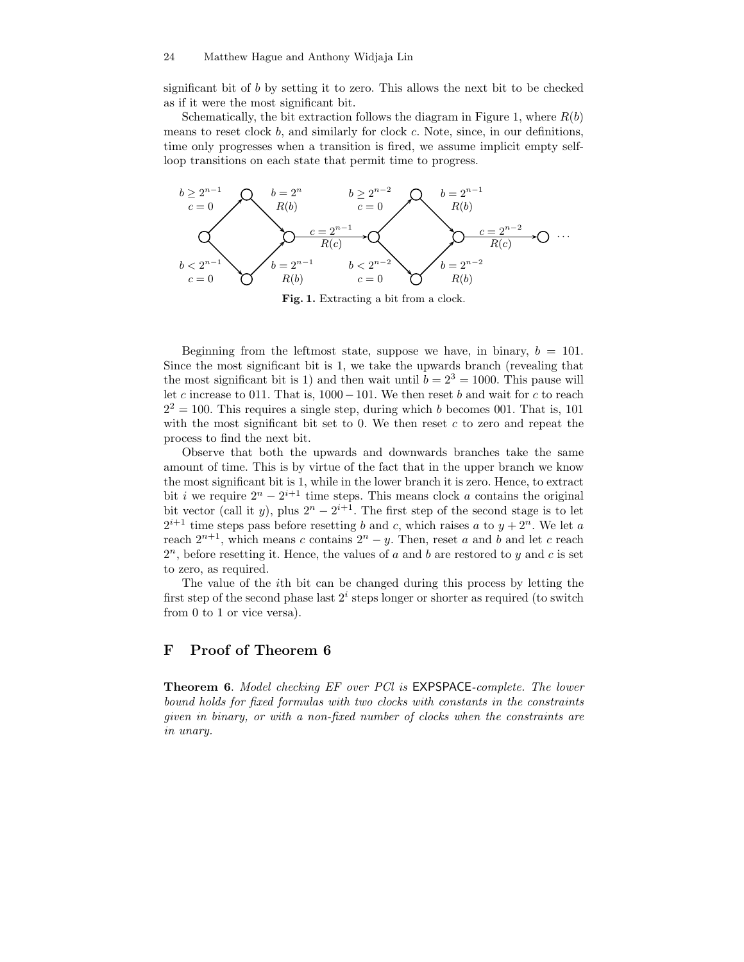significant bit of b by setting it to zero. This allows the next bit to be checked as if it were the most significant bit.

Schematically, the bit extraction follows the diagram in Figure 1, where  $R(b)$ means to reset clock  $b$ , and similarly for clock  $c$ . Note, since, in our definitions, time only progresses when a transition is fired, we assume implicit empty selfloop transitions on each state that permit time to progress.



Fig. 1. Extracting a bit from a clock.

Beginning from the leftmost state, suppose we have, in binary,  $b = 101$ . Since the most significant bit is 1, we take the upwards branch (revealing that the most significant bit is 1) and then wait until  $b = 2^3 = 1000$ . This pause will let c increase to 011. That is,  $1000-101$ . We then reset b and wait for c to reach  $2^2 = 100$ . This requires a single step, during which b becomes 001. That is, 101 with the most significant bit set to 0. We then reset  $c$  to zero and repeat the process to find the next bit.

Observe that both the upwards and downwards branches take the same amount of time. This is by virtue of the fact that in the upper branch we know the most significant bit is 1, while in the lower branch it is zero. Hence, to extract bit i we require  $2^{n} - 2^{i+1}$  time steps. This means clock a contains the original bit vector (call it y), plus  $2^{n} - 2^{i+1}$ . The first step of the second stage is to let  $2^{i+1}$  time steps pass before resetting b and c, which raises a to  $y + 2^n$ . We let a reach  $2^{n+1}$ , which means c contains  $2^{n} - y$ . Then, reset a and b and let c reach  $2<sup>n</sup>$ , before resetting it. Hence, the values of a and b are restored to y and c is set to zero, as required.

The value of the ith bit can be changed during this process by letting the first step of the second phase last  $2^i$  steps longer or shorter as required (to switch from 0 to 1 or vice versa).

### F Proof of Theorem 6

Theorem 6. Model checking EF over PCl is EXPSPACE-complete. The lower bound holds for fixed formulas with two clocks with constants in the constraints given in binary, or with a non-fixed number of clocks when the constraints are in unary.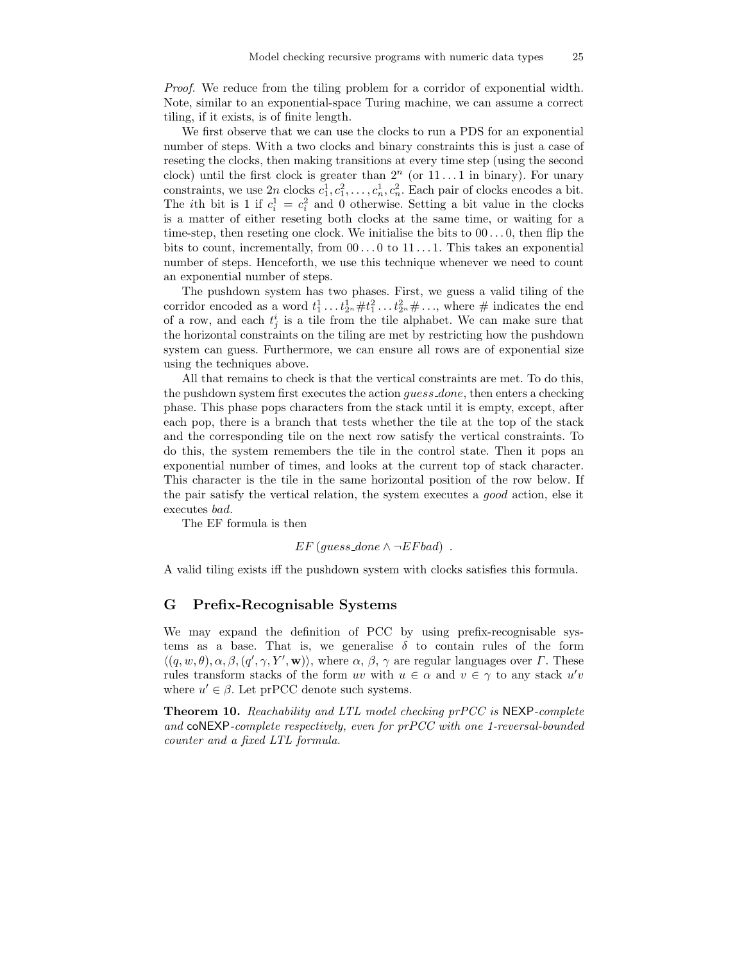Proof. We reduce from the tiling problem for a corridor of exponential width. Note, similar to an exponential-space Turing machine, we can assume a correct tiling, if it exists, is of finite length.

We first observe that we can use the clocks to run a PDS for an exponential number of steps. With a two clocks and binary constraints this is just a case of reseting the clocks, then making transitions at every time step (using the second clock) until the first clock is greater than  $2^n$  (or  $11 \dots 1$  in binary). For unary constraints, we use  $2n$  clocks  $c_1^1, c_1^2, \ldots, c_n^1, c_n^2$ . Each pair of clocks encodes a bit. The *i*th bit is 1 if  $c_i^1 = c_i^2$  and 0 otherwise. Setting a bit value in the clocks is a matter of either reseting both clocks at the same time, or waiting for a time-step, then reseting one clock. We initialise the bits to  $00 \ldots 0$ , then flip the bits to count, incrementally, from  $00 \dots 0$  to  $11 \dots 1$ . This takes an exponential number of steps. Henceforth, we use this technique whenever we need to count an exponential number of steps.

The pushdown system has two phases. First, we guess a valid tiling of the corridor encoded as a word  $t_1^1 \ldots t_{2n}^1 \# t_1^2 \ldots t_{2n}^2 \# \ldots$ , where  $\#$  indicates the end of a row, and each  $t_j^i$  is a tile from the tile alphabet. We can make sure that the horizontal constraints on the tiling are met by restricting how the pushdown system can guess. Furthermore, we can ensure all rows are of exponential size using the techniques above.

All that remains to check is that the vertical constraints are met. To do this, the pushdown system first executes the action *guess\_done*, then enters a checking phase. This phase pops characters from the stack until it is empty, except, after each pop, there is a branch that tests whether the tile at the top of the stack and the corresponding tile on the next row satisfy the vertical constraints. To do this, the system remembers the tile in the control state. Then it pops an exponential number of times, and looks at the current top of stack character. This character is the tile in the same horizontal position of the row below. If the pair satisfy the vertical relation, the system executes a good action, else it executes bad.

The EF formula is then

$$
EF
$$
 (guess $\triangle$ o $\land \neg EF$ bad).

A valid tiling exists iff the pushdown system with clocks satisfies this formula.

#### G Prefix-Recognisable Systems

We may expand the definition of PCC by using prefix-recognisable systems as a base. That is, we generalise  $\delta$  to contain rules of the form  $\langle (q, w, \theta), \alpha, \beta, (q', \gamma, Y', \mathbf{w}) \rangle$ , where  $\alpha, \beta, \gamma$  are regular languages over  $\Gamma$ . These rules transform stacks of the form uv with  $u \in \alpha$  and  $v \in \gamma$  to any stack  $u'v$ where  $u' \in \beta$ . Let prPCC denote such systems.

Theorem 10. Reachability and LTL model checking prPCC is NEXP-complete and coNEXP-complete respectively, even for prPCC with one 1-reversal-bounded counter and a fixed LTL formula.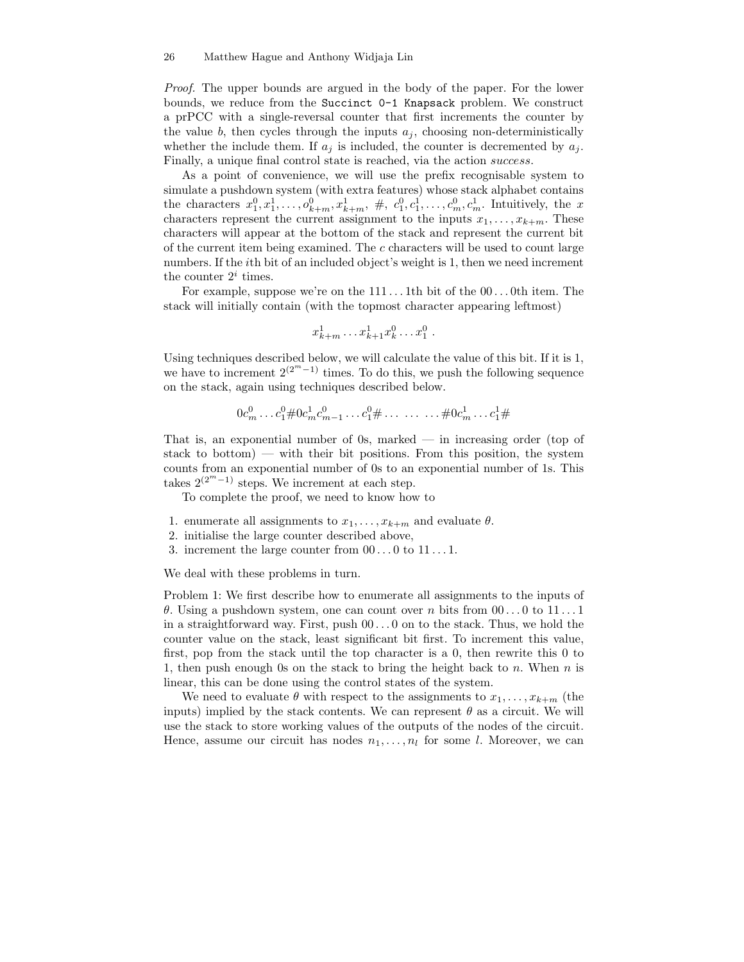#### 26 Matthew Hague and Anthony Widjaja Lin

Proof. The upper bounds are argued in the body of the paper. For the lower bounds, we reduce from the Succinct 0-1 Knapsack problem. We construct a prPCC with a single-reversal counter that first increments the counter by the value b, then cycles through the inputs  $a_j$ , choosing non-deterministically whether the include them. If  $a_i$  is included, the counter is decremented by  $a_i$ . Finally, a unique final control state is reached, via the action success.

As a point of convenience, we will use the prefix recognisable system to simulate a pushdown system (with extra features) whose stack alphabet contains the characters  $x_1^0, x_1^1, \ldots, o_{k+m}^0, x_{k+m}^1, \#, c_1^0, c_1^1, \ldots, c_m^0, c_m^1$ . Intuitively, the x characters represent the current assignment to the inputs  $x_1, \ldots, x_{k+m}$ . These characters will appear at the bottom of the stack and represent the current bit of the current item being examined. The c characters will be used to count large numbers. If the ith bit of an included object's weight is 1, then we need increment the counter  $2^i$  times.

For example, suppose we're on the  $111 \dots 1$ th bit of the  $00 \dots 0$ th item. The stack will initially contain (with the topmost character appearing leftmost)

$$
x_{k+m}^1 \ldots x_{k+1}^1 x_k^0 \ldots x_1^0
$$
.

Using techniques described below, we will calculate the value of this bit. If it is 1, we have to increment  $2^{(2^m-1)}$  times. To do this, we push the following sequence on the stack, again using techniques described below.

$$
0c_m^0 \dots c_1^0 \# 0c_m^1 c_{m-1}^0 \dots c_1^0 \# \dots \dots \dots \dots \# 0c_m^1 \dots c_1^1 \#
$$

That is, an exponential number of  $0s$ , marked  $-$  in increasing order (top of stack to bottom) — with their bit positions. From this position, the system counts from an exponential number of 0s to an exponential number of 1s. This takes  $2^{(2^m-1)}$  steps. We increment at each step.

To complete the proof, we need to know how to

- 1. enumerate all assignments to  $x_1, \ldots, x_{k+m}$  and evaluate  $\theta$ .
- 2. initialise the large counter described above,
- 3. increment the large counter from  $00 \dots 0$  to  $11 \dots 1$ .

We deal with these problems in turn.

Problem 1: We first describe how to enumerate all assignments to the inputs of θ. Using a pushdown system, one can count over *n* bits from  $00...0$  to  $11...1$ in a straightforward way. First, push  $00...0$  on to the stack. Thus, we hold the counter value on the stack, least significant bit first. To increment this value, first, pop from the stack until the top character is a 0, then rewrite this 0 to 1, then push enough 0s on the stack to bring the height back to  $n$ . When  $n$  is linear, this can be done using the control states of the system.

We need to evaluate  $\theta$  with respect to the assignments to  $x_1, \ldots, x_{k+m}$  (the inputs) implied by the stack contents. We can represent  $\theta$  as a circuit. We will use the stack to store working values of the outputs of the nodes of the circuit. Hence, assume our circuit has nodes  $n_1, \ldots, n_l$  for some l. Moreover, we can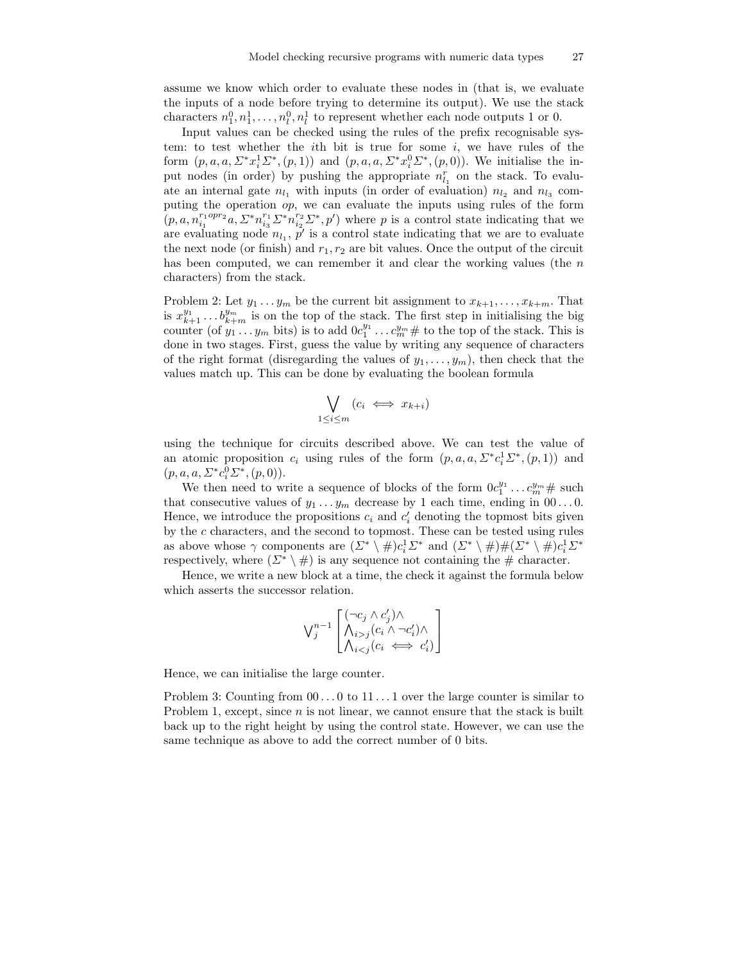assume we know which order to evaluate these nodes in (that is, we evaluate the inputs of a node before trying to determine its output). We use the stack characters  $n_1^0, n_1^1, \ldots, n_l^0, n_l^1$  to represent whether each node outputs 1 or 0.

Input values can be checked using the rules of the prefix recognisable system: to test whether the *i*th bit is true for some  $i$ , we have rules of the form  $(p, a, a, \Sigma^* x_i^1 \Sigma^*, (p, 1))$  and  $(p, a, a, \Sigma^* x_i^0 \Sigma^*, (p, 0))$ . We initialise the input nodes (in order) by pushing the appropriate  $n_{l_1}^r$  on the stack. To evaluate an internal gate  $n_{l_1}$  with inputs (in order of evaluation)  $n_{l_2}$  and  $n_{l_3}$  computing the operation op, we can evaluate the inputs using rules of the form  $(p, a, n_{i_1}^{r_1 \text{opr}_2} a, \Sigma^* n_{i_3}^{r_1} \Sigma^* n_{i_2}^{r_2} \Sigma^*, p')$  where p is a control state indicating that we are evaluating node  $n_{l_1}, p'$  is a control state indicating that we are to evaluate the next node (or finish) and  $r_1, r_2$  are bit values. Once the output of the circuit has been computed, we can remember it and clear the working values (the  $n$ characters) from the stack.

Problem 2: Let  $y_1 \ldots y_m$  be the current bit assignment to  $x_{k+1}, \ldots, x_{k+m}$ . That is  $x_{k+1}^{y_1} \ldots b_{k+m}^{y_m}$  is on the top of the stack. The first step in initialising the big counter (of  $y_1 \ldots y_m$  bits) is to add  $0c_1^{y_1} \ldots c_m^{y_m} \#$  to the top of the stack. This is done in two stages. First, guess the value by writing any sequence of characters of the right format (disregarding the values of  $y_1, \ldots, y_m$ ), then check that the values match up. This can be done by evaluating the boolean formula

$$
\bigvee_{1 \leq i \leq m} (c_i \iff x_{k+i})
$$

using the technique for circuits described above. We can test the value of an atomic proposition  $c_i$  using rules of the form  $(p, a, a, \Sigma^* c_i^1 \Sigma^*, (p, 1))$  and  $(p, a, a, \Sigma^* c_i^0 \Sigma^*, (p, 0)).$ 

We then need to write a sequence of blocks of the form  $0c_1^{y_1}\dots c_m^{y_m} \#$  such that consecutive values of  $y_1 \ldots y_m$  decrease by 1 each time, ending in  $00 \ldots 0$ . Hence, we introduce the propositions  $c_i$  and  $c'_i$  denoting the topmost bits given by the c characters, and the second to topmost. These can be tested using rules as above whose  $\gamma$  components are  $(\Sigma^* \setminus \#)c_i^1 \Sigma^*$  and  $(\Sigma^* \setminus \#) \# (\Sigma^* \setminus \#)c_i^1 \Sigma^*$ respectively, where  $(\Sigma^* \setminus \#)$  is any sequence not containing the  $\#$  character.

Hence, we write a new block at a time, the check it against the formula below which asserts the successor relation.

$$
\bigvee_j^{n-1} \begin{bmatrix} (\neg c_j \land c'_j) \land \\ \bigwedge_{i>j} (c_i \land \neg c'_i) \land \\ \bigwedge_{i
$$

Hence, we can initialise the large counter.

Problem 3: Counting from  $00...0$  to  $11...1$  over the large counter is similar to Problem 1, except, since  $n$  is not linear, we cannot ensure that the stack is built back up to the right height by using the control state. However, we can use the same technique as above to add the correct number of 0 bits.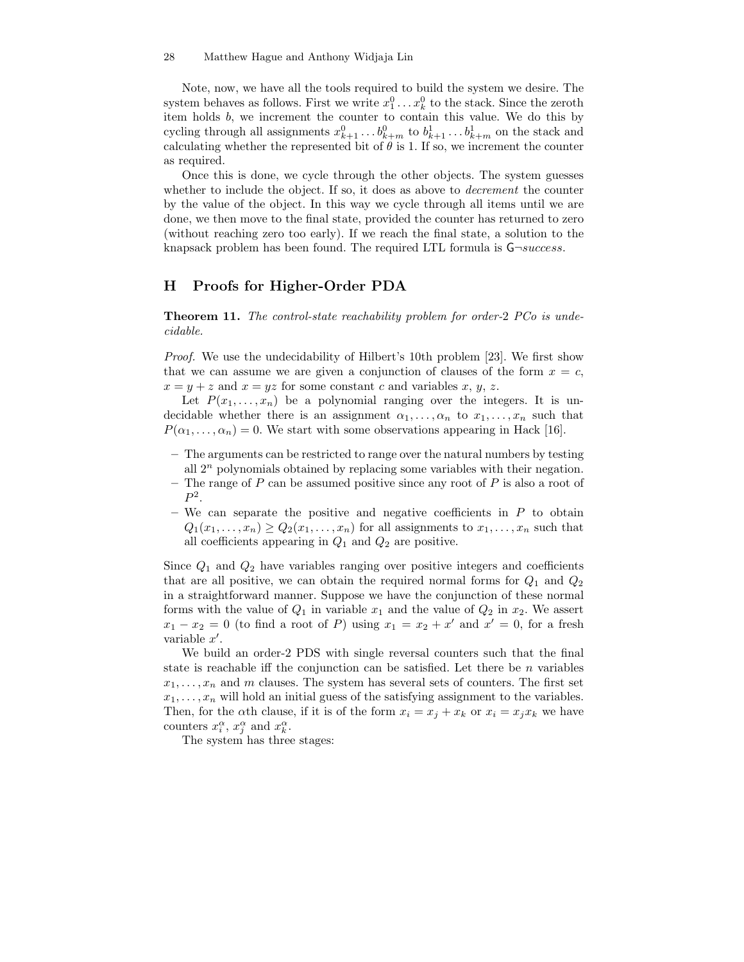#### 28 Matthew Hague and Anthony Widjaja Lin

Note, now, we have all the tools required to build the system we desire. The system behaves as follows. First we write  $x_1^0 \dots x_k^0$  to the stack. Since the zeroth item holds b, we increment the counter to contain this value. We do this by cycling through all assignments  $x_{k+1}^0 \dots b_{k+m}^0$  to  $b_{k+1}^1 \dots b_{k+m}^1$  on the stack and calculating whether the represented bit of  $\theta$  is 1. If so, we increment the counter as required.

Once this is done, we cycle through the other objects. The system guesses whether to include the object. If so, it does as above to *decrement* the counter by the value of the object. In this way we cycle through all items until we are done, we then move to the final state, provided the counter has returned to zero (without reaching zero too early). If we reach the final state, a solution to the knapsack problem has been found. The required LTL formula is  $G\neg success$ .

### H Proofs for Higher-Order PDA

**Theorem 11.** The control-state reachability problem for order-2 PCo is undecidable.

Proof. We use the undecidability of Hilbert's 10th problem [23]. We first show that we can assume we are given a conjunction of clauses of the form  $x = c$ ,  $x = y + z$  and  $x = yz$  for some constant c and variables x, y, z.

Let  $P(x_1, \ldots, x_n)$  be a polynomial ranging over the integers. It is undecidable whether there is an assignment  $\alpha_1, \ldots, \alpha_n$  to  $x_1, \ldots, x_n$  such that  $P(\alpha_1, \ldots, \alpha_n) = 0$ . We start with some observations appearing in Hack [16].

- The arguments can be restricted to range over the natural numbers by testing all  $2^n$  polynomials obtained by replacing some variables with their negation.
- The range of P can be assumed positive since any root of P is also a root of  $P^2$ .
- We can separate the positive and negative coefficients in  $P$  to obtain  $Q_1(x_1,\ldots,x_n) \geq Q_2(x_1,\ldots,x_n)$  for all assignments to  $x_1,\ldots,x_n$  such that all coefficients appearing in  $Q_1$  and  $Q_2$  are positive.

Since  $Q_1$  and  $Q_2$  have variables ranging over positive integers and coefficients that are all positive, we can obtain the required normal forms for  $Q_1$  and  $Q_2$ in a straightforward manner. Suppose we have the conjunction of these normal forms with the value of  $Q_1$  in variable  $x_1$  and the value of  $Q_2$  in  $x_2$ . We assert  $x_1 - x_2 = 0$  (to find a root of P) using  $x_1 = x_2 + x'$  and  $x' = 0$ , for a fresh variable  $x'$ .

We build an order-2 PDS with single reversal counters such that the final state is reachable iff the conjunction can be satisfied. Let there be  $n$  variables  $x_1, \ldots, x_n$  and m clauses. The system has several sets of counters. The first set  $x_1, \ldots, x_n$  will hold an initial guess of the satisfying assignment to the variables. Then, for the  $\alpha$ th clause, if it is of the form  $x_i = x_j + x_k$  or  $x_i = x_j x_k$  we have counters  $x_i^{\alpha}$ ,  $x_j^{\alpha}$  and  $x_k^{\alpha}$ .

The system has three stages: